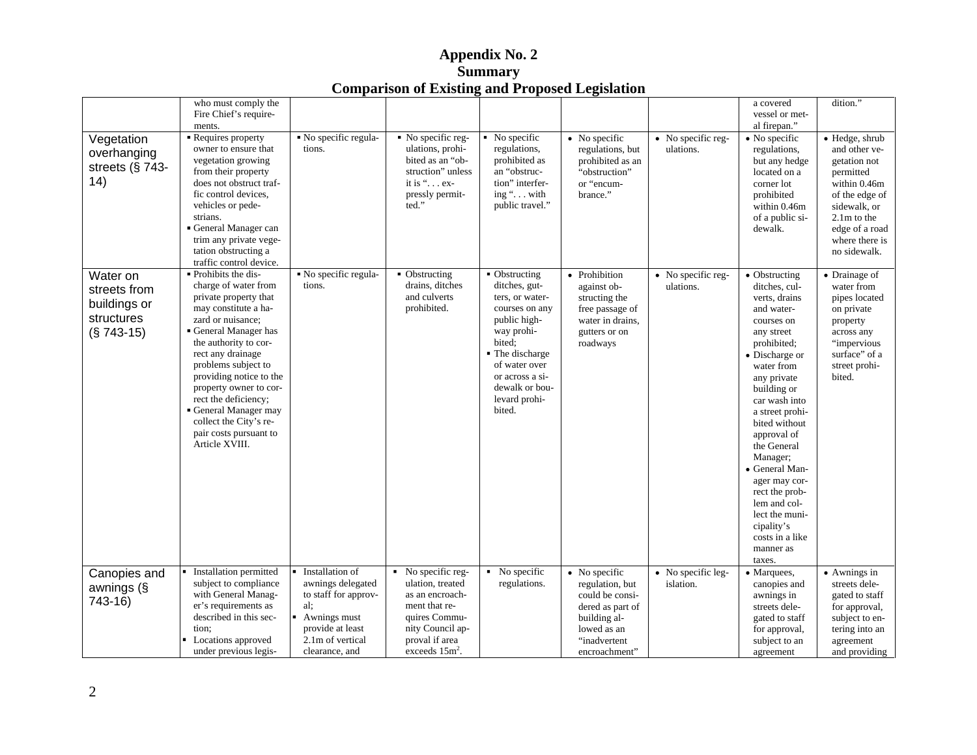| who must comply the<br>dition."<br>a covered<br>Fire Chief's require-<br>vessel or met-<br>al firepan."<br>ments.<br>No specific regula-<br>Requires property<br>• No specific reg-<br>No specific<br>$\bullet$ No specific<br>• No specific reg-<br>· Hedge, shrub<br>Vegetation<br>$\bullet$ No specific<br>ulations, prohi-<br>regulations,<br>regulations, but<br>owner to ensure that<br>tions.<br>ulations.<br>and other ve-<br>regulations,<br>overhanging<br>prohibited as<br>prohibited as an<br>vegetation growing<br>bited as an "ob-<br>but any hedge<br>getation not<br>streets (§ 743-<br>from their property<br>struction" unless<br>an "obstruc-<br>"obstruction"<br>located on a<br>permitted<br>14)<br>tion" interfer-<br>within 0.46m<br>it is " $\dots$ ex-<br>does not obstruct traf-<br>or "encum-<br>corner lot<br>fic control devices,<br>ing ". with<br>brance."<br>prohibited<br>of the edge of<br>pressly permit-<br>ted."<br>vehicles or pede-<br>public travel."<br>within 0.46m<br>sidewalk, or<br>strians.<br>of a public si-<br>$2.1m$ to the<br>General Manager can<br>edge of a road<br>dewalk.<br>trim any private vege-<br>where there is<br>tation obstructing a<br>no sidewalk.<br>traffic control device.<br>Prohibits the dis-<br>Water on<br>No specific regula-<br>• Obstructing<br>• Obstructing<br>· Prohibition<br>• Obstructing<br>• Drainage of<br>No specific reg-<br>drains, ditches<br>ditches, gut-<br>charge of water from<br>tions.<br>ditches, cul-<br>against ob-<br>ulations.<br>water from<br>streets from<br>and culverts<br>private property that<br>pipes located<br>ters, or water-<br>structing the<br>verts, drains<br>buildings or<br>prohibited.<br>may constitute a ha-<br>courses on any<br>free passage of<br>and water-<br>on private<br>structures<br>zard or nuisance;<br>public high-<br>water in drains,<br>property<br>courses on<br>$(S 743-15)$<br>General Manager has<br>way prohi-<br>gutters or on<br>any street<br>across any<br>the authority to cor-<br>prohibited;<br>bited:<br>roadways<br>"impervious<br>• The discharge<br>surface" of a<br>rect any drainage<br>• Discharge or<br>problems subject to<br>of water over<br>street prohi-<br>water from<br>providing notice to the<br>or across a si-<br>bited.<br>any private<br>dewalk or bou-<br>property owner to cor-<br>building or<br>rect the deficiency;<br>levard prohi-<br>car wash into<br>General Manager may<br>bited.<br>a street prohi-<br>collect the City's re-<br>bited without<br>pair costs pursuant to<br>approval of<br>Article XVIII.<br>the General<br>Manager;<br>• General Man-<br>ager may cor-<br>rect the prob-<br>lem and col-<br>lect the muni-<br>cipality's<br>costs in a like<br>manner as<br>taxes.<br>Canopies and<br>Installation permitted<br>Installation of<br>$\overline{\phantom{1}}$ No specific reg-<br>No specific<br>• No specific<br>• No specific leg-<br>• Marquees,<br>• Awnings in<br>awnings delegated<br>ulation, treated<br>regulations.<br>regulation, but<br>streets dele-<br>subject to compliance<br>islation.<br>canopies and<br>awnings (§<br>with General Manag-<br>to staff for approv-<br>could be consi-<br>as an encroach-<br>gated to staff<br>awnings in<br>743-16)<br>ment that re-<br>er's requirements as<br>dered as part of<br>streets dele-<br>for approval,<br>described in this sec-<br>Awnings must<br>quires Commu-<br>building al-<br>gated to staff<br>subject to en-<br>nity Council ap-<br>provide at least<br>lowed as an<br>tion:<br>tering into an<br>for approval,<br>2.1m of vertical<br>proval if area<br>• Locations approved<br>"inadvertent<br>subject to an<br>agreement<br>exceeds $15m^2$ .<br>under previous legis-<br>clearance, and<br>encroachment" |  | $\sim$ 0.111 $\mu$ we no 0.11 $\sim$ 211110 $\mu$ 1.1 $\mu$ = $\sim$ 0.1 $\mu$ = $\sim$ 0.1 $\mu$ = $\sim$ 0.1 $\mu$ |  |           |               |
|--------------------------------------------------------------------------------------------------------------------------------------------------------------------------------------------------------------------------------------------------------------------------------------------------------------------------------------------------------------------------------------------------------------------------------------------------------------------------------------------------------------------------------------------------------------------------------------------------------------------------------------------------------------------------------------------------------------------------------------------------------------------------------------------------------------------------------------------------------------------------------------------------------------------------------------------------------------------------------------------------------------------------------------------------------------------------------------------------------------------------------------------------------------------------------------------------------------------------------------------------------------------------------------------------------------------------------------------------------------------------------------------------------------------------------------------------------------------------------------------------------------------------------------------------------------------------------------------------------------------------------------------------------------------------------------------------------------------------------------------------------------------------------------------------------------------------------------------------------------------------------------------------------------------------------------------------------------------------------------------------------------------------------------------------------------------------------------------------------------------------------------------------------------------------------------------------------------------------------------------------------------------------------------------------------------------------------------------------------------------------------------------------------------------------------------------------------------------------------------------------------------------------------------------------------------------------------------------------------------------------------------------------------------------------------------------------------------------------------------------------------------------------------------------------------------------------------------------------------------------------------------------------------------------------------------------------------------------------------------------------------------------------------------------------------------------------------------------------------------------------------------------------------------------------------------------------------------------------------------------------------------------------------------------------------------------------------------------------------------------------------------------------------------------------------------------------------------------------------------------------------------------------------------------------------------------------------------------------------------------------------------------------------------------------------------------------------------------------------------------------------------------------------------------|--|----------------------------------------------------------------------------------------------------------------------|--|-----------|---------------|
|                                                                                                                                                                                                                                                                                                                                                                                                                                                                                                                                                                                                                                                                                                                                                                                                                                                                                                                                                                                                                                                                                                                                                                                                                                                                                                                                                                                                                                                                                                                                                                                                                                                                                                                                                                                                                                                                                                                                                                                                                                                                                                                                                                                                                                                                                                                                                                                                                                                                                                                                                                                                                                                                                                                                                                                                                                                                                                                                                                                                                                                                                                                                                                                                                                                                                                                                                                                                                                                                                                                                                                                                                                                                                                                                                                                            |  |                                                                                                                      |  |           |               |
|                                                                                                                                                                                                                                                                                                                                                                                                                                                                                                                                                                                                                                                                                                                                                                                                                                                                                                                                                                                                                                                                                                                                                                                                                                                                                                                                                                                                                                                                                                                                                                                                                                                                                                                                                                                                                                                                                                                                                                                                                                                                                                                                                                                                                                                                                                                                                                                                                                                                                                                                                                                                                                                                                                                                                                                                                                                                                                                                                                                                                                                                                                                                                                                                                                                                                                                                                                                                                                                                                                                                                                                                                                                                                                                                                                                            |  |                                                                                                                      |  |           |               |
|                                                                                                                                                                                                                                                                                                                                                                                                                                                                                                                                                                                                                                                                                                                                                                                                                                                                                                                                                                                                                                                                                                                                                                                                                                                                                                                                                                                                                                                                                                                                                                                                                                                                                                                                                                                                                                                                                                                                                                                                                                                                                                                                                                                                                                                                                                                                                                                                                                                                                                                                                                                                                                                                                                                                                                                                                                                                                                                                                                                                                                                                                                                                                                                                                                                                                                                                                                                                                                                                                                                                                                                                                                                                                                                                                                                            |  |                                                                                                                      |  |           |               |
|                                                                                                                                                                                                                                                                                                                                                                                                                                                                                                                                                                                                                                                                                                                                                                                                                                                                                                                                                                                                                                                                                                                                                                                                                                                                                                                                                                                                                                                                                                                                                                                                                                                                                                                                                                                                                                                                                                                                                                                                                                                                                                                                                                                                                                                                                                                                                                                                                                                                                                                                                                                                                                                                                                                                                                                                                                                                                                                                                                                                                                                                                                                                                                                                                                                                                                                                                                                                                                                                                                                                                                                                                                                                                                                                                                                            |  |                                                                                                                      |  |           |               |
|                                                                                                                                                                                                                                                                                                                                                                                                                                                                                                                                                                                                                                                                                                                                                                                                                                                                                                                                                                                                                                                                                                                                                                                                                                                                                                                                                                                                                                                                                                                                                                                                                                                                                                                                                                                                                                                                                                                                                                                                                                                                                                                                                                                                                                                                                                                                                                                                                                                                                                                                                                                                                                                                                                                                                                                                                                                                                                                                                                                                                                                                                                                                                                                                                                                                                                                                                                                                                                                                                                                                                                                                                                                                                                                                                                                            |  |                                                                                                                      |  |           |               |
|                                                                                                                                                                                                                                                                                                                                                                                                                                                                                                                                                                                                                                                                                                                                                                                                                                                                                                                                                                                                                                                                                                                                                                                                                                                                                                                                                                                                                                                                                                                                                                                                                                                                                                                                                                                                                                                                                                                                                                                                                                                                                                                                                                                                                                                                                                                                                                                                                                                                                                                                                                                                                                                                                                                                                                                                                                                                                                                                                                                                                                                                                                                                                                                                                                                                                                                                                                                                                                                                                                                                                                                                                                                                                                                                                                                            |  |                                                                                                                      |  |           |               |
|                                                                                                                                                                                                                                                                                                                                                                                                                                                                                                                                                                                                                                                                                                                                                                                                                                                                                                                                                                                                                                                                                                                                                                                                                                                                                                                                                                                                                                                                                                                                                                                                                                                                                                                                                                                                                                                                                                                                                                                                                                                                                                                                                                                                                                                                                                                                                                                                                                                                                                                                                                                                                                                                                                                                                                                                                                                                                                                                                                                                                                                                                                                                                                                                                                                                                                                                                                                                                                                                                                                                                                                                                                                                                                                                                                                            |  |                                                                                                                      |  |           |               |
|                                                                                                                                                                                                                                                                                                                                                                                                                                                                                                                                                                                                                                                                                                                                                                                                                                                                                                                                                                                                                                                                                                                                                                                                                                                                                                                                                                                                                                                                                                                                                                                                                                                                                                                                                                                                                                                                                                                                                                                                                                                                                                                                                                                                                                                                                                                                                                                                                                                                                                                                                                                                                                                                                                                                                                                                                                                                                                                                                                                                                                                                                                                                                                                                                                                                                                                                                                                                                                                                                                                                                                                                                                                                                                                                                                                            |  |                                                                                                                      |  |           |               |
|                                                                                                                                                                                                                                                                                                                                                                                                                                                                                                                                                                                                                                                                                                                                                                                                                                                                                                                                                                                                                                                                                                                                                                                                                                                                                                                                                                                                                                                                                                                                                                                                                                                                                                                                                                                                                                                                                                                                                                                                                                                                                                                                                                                                                                                                                                                                                                                                                                                                                                                                                                                                                                                                                                                                                                                                                                                                                                                                                                                                                                                                                                                                                                                                                                                                                                                                                                                                                                                                                                                                                                                                                                                                                                                                                                                            |  |                                                                                                                      |  |           |               |
|                                                                                                                                                                                                                                                                                                                                                                                                                                                                                                                                                                                                                                                                                                                                                                                                                                                                                                                                                                                                                                                                                                                                                                                                                                                                                                                                                                                                                                                                                                                                                                                                                                                                                                                                                                                                                                                                                                                                                                                                                                                                                                                                                                                                                                                                                                                                                                                                                                                                                                                                                                                                                                                                                                                                                                                                                                                                                                                                                                                                                                                                                                                                                                                                                                                                                                                                                                                                                                                                                                                                                                                                                                                                                                                                                                                            |  |                                                                                                                      |  |           |               |
|                                                                                                                                                                                                                                                                                                                                                                                                                                                                                                                                                                                                                                                                                                                                                                                                                                                                                                                                                                                                                                                                                                                                                                                                                                                                                                                                                                                                                                                                                                                                                                                                                                                                                                                                                                                                                                                                                                                                                                                                                                                                                                                                                                                                                                                                                                                                                                                                                                                                                                                                                                                                                                                                                                                                                                                                                                                                                                                                                                                                                                                                                                                                                                                                                                                                                                                                                                                                                                                                                                                                                                                                                                                                                                                                                                                            |  |                                                                                                                      |  |           |               |
|                                                                                                                                                                                                                                                                                                                                                                                                                                                                                                                                                                                                                                                                                                                                                                                                                                                                                                                                                                                                                                                                                                                                                                                                                                                                                                                                                                                                                                                                                                                                                                                                                                                                                                                                                                                                                                                                                                                                                                                                                                                                                                                                                                                                                                                                                                                                                                                                                                                                                                                                                                                                                                                                                                                                                                                                                                                                                                                                                                                                                                                                                                                                                                                                                                                                                                                                                                                                                                                                                                                                                                                                                                                                                                                                                                                            |  |                                                                                                                      |  |           |               |
|                                                                                                                                                                                                                                                                                                                                                                                                                                                                                                                                                                                                                                                                                                                                                                                                                                                                                                                                                                                                                                                                                                                                                                                                                                                                                                                                                                                                                                                                                                                                                                                                                                                                                                                                                                                                                                                                                                                                                                                                                                                                                                                                                                                                                                                                                                                                                                                                                                                                                                                                                                                                                                                                                                                                                                                                                                                                                                                                                                                                                                                                                                                                                                                                                                                                                                                                                                                                                                                                                                                                                                                                                                                                                                                                                                                            |  |                                                                                                                      |  |           |               |
|                                                                                                                                                                                                                                                                                                                                                                                                                                                                                                                                                                                                                                                                                                                                                                                                                                                                                                                                                                                                                                                                                                                                                                                                                                                                                                                                                                                                                                                                                                                                                                                                                                                                                                                                                                                                                                                                                                                                                                                                                                                                                                                                                                                                                                                                                                                                                                                                                                                                                                                                                                                                                                                                                                                                                                                                                                                                                                                                                                                                                                                                                                                                                                                                                                                                                                                                                                                                                                                                                                                                                                                                                                                                                                                                                                                            |  |                                                                                                                      |  |           |               |
|                                                                                                                                                                                                                                                                                                                                                                                                                                                                                                                                                                                                                                                                                                                                                                                                                                                                                                                                                                                                                                                                                                                                                                                                                                                                                                                                                                                                                                                                                                                                                                                                                                                                                                                                                                                                                                                                                                                                                                                                                                                                                                                                                                                                                                                                                                                                                                                                                                                                                                                                                                                                                                                                                                                                                                                                                                                                                                                                                                                                                                                                                                                                                                                                                                                                                                                                                                                                                                                                                                                                                                                                                                                                                                                                                                                            |  |                                                                                                                      |  |           |               |
|                                                                                                                                                                                                                                                                                                                                                                                                                                                                                                                                                                                                                                                                                                                                                                                                                                                                                                                                                                                                                                                                                                                                                                                                                                                                                                                                                                                                                                                                                                                                                                                                                                                                                                                                                                                                                                                                                                                                                                                                                                                                                                                                                                                                                                                                                                                                                                                                                                                                                                                                                                                                                                                                                                                                                                                                                                                                                                                                                                                                                                                                                                                                                                                                                                                                                                                                                                                                                                                                                                                                                                                                                                                                                                                                                                                            |  |                                                                                                                      |  |           |               |
|                                                                                                                                                                                                                                                                                                                                                                                                                                                                                                                                                                                                                                                                                                                                                                                                                                                                                                                                                                                                                                                                                                                                                                                                                                                                                                                                                                                                                                                                                                                                                                                                                                                                                                                                                                                                                                                                                                                                                                                                                                                                                                                                                                                                                                                                                                                                                                                                                                                                                                                                                                                                                                                                                                                                                                                                                                                                                                                                                                                                                                                                                                                                                                                                                                                                                                                                                                                                                                                                                                                                                                                                                                                                                                                                                                                            |  |                                                                                                                      |  |           |               |
|                                                                                                                                                                                                                                                                                                                                                                                                                                                                                                                                                                                                                                                                                                                                                                                                                                                                                                                                                                                                                                                                                                                                                                                                                                                                                                                                                                                                                                                                                                                                                                                                                                                                                                                                                                                                                                                                                                                                                                                                                                                                                                                                                                                                                                                                                                                                                                                                                                                                                                                                                                                                                                                                                                                                                                                                                                                                                                                                                                                                                                                                                                                                                                                                                                                                                                                                                                                                                                                                                                                                                                                                                                                                                                                                                                                            |  |                                                                                                                      |  |           |               |
|                                                                                                                                                                                                                                                                                                                                                                                                                                                                                                                                                                                                                                                                                                                                                                                                                                                                                                                                                                                                                                                                                                                                                                                                                                                                                                                                                                                                                                                                                                                                                                                                                                                                                                                                                                                                                                                                                                                                                                                                                                                                                                                                                                                                                                                                                                                                                                                                                                                                                                                                                                                                                                                                                                                                                                                                                                                                                                                                                                                                                                                                                                                                                                                                                                                                                                                                                                                                                                                                                                                                                                                                                                                                                                                                                                                            |  |                                                                                                                      |  |           |               |
|                                                                                                                                                                                                                                                                                                                                                                                                                                                                                                                                                                                                                                                                                                                                                                                                                                                                                                                                                                                                                                                                                                                                                                                                                                                                                                                                                                                                                                                                                                                                                                                                                                                                                                                                                                                                                                                                                                                                                                                                                                                                                                                                                                                                                                                                                                                                                                                                                                                                                                                                                                                                                                                                                                                                                                                                                                                                                                                                                                                                                                                                                                                                                                                                                                                                                                                                                                                                                                                                                                                                                                                                                                                                                                                                                                                            |  |                                                                                                                      |  |           |               |
|                                                                                                                                                                                                                                                                                                                                                                                                                                                                                                                                                                                                                                                                                                                                                                                                                                                                                                                                                                                                                                                                                                                                                                                                                                                                                                                                                                                                                                                                                                                                                                                                                                                                                                                                                                                                                                                                                                                                                                                                                                                                                                                                                                                                                                                                                                                                                                                                                                                                                                                                                                                                                                                                                                                                                                                                                                                                                                                                                                                                                                                                                                                                                                                                                                                                                                                                                                                                                                                                                                                                                                                                                                                                                                                                                                                            |  |                                                                                                                      |  |           |               |
|                                                                                                                                                                                                                                                                                                                                                                                                                                                                                                                                                                                                                                                                                                                                                                                                                                                                                                                                                                                                                                                                                                                                                                                                                                                                                                                                                                                                                                                                                                                                                                                                                                                                                                                                                                                                                                                                                                                                                                                                                                                                                                                                                                                                                                                                                                                                                                                                                                                                                                                                                                                                                                                                                                                                                                                                                                                                                                                                                                                                                                                                                                                                                                                                                                                                                                                                                                                                                                                                                                                                                                                                                                                                                                                                                                                            |  |                                                                                                                      |  |           |               |
|                                                                                                                                                                                                                                                                                                                                                                                                                                                                                                                                                                                                                                                                                                                                                                                                                                                                                                                                                                                                                                                                                                                                                                                                                                                                                                                                                                                                                                                                                                                                                                                                                                                                                                                                                                                                                                                                                                                                                                                                                                                                                                                                                                                                                                                                                                                                                                                                                                                                                                                                                                                                                                                                                                                                                                                                                                                                                                                                                                                                                                                                                                                                                                                                                                                                                                                                                                                                                                                                                                                                                                                                                                                                                                                                                                                            |  |                                                                                                                      |  |           |               |
|                                                                                                                                                                                                                                                                                                                                                                                                                                                                                                                                                                                                                                                                                                                                                                                                                                                                                                                                                                                                                                                                                                                                                                                                                                                                                                                                                                                                                                                                                                                                                                                                                                                                                                                                                                                                                                                                                                                                                                                                                                                                                                                                                                                                                                                                                                                                                                                                                                                                                                                                                                                                                                                                                                                                                                                                                                                                                                                                                                                                                                                                                                                                                                                                                                                                                                                                                                                                                                                                                                                                                                                                                                                                                                                                                                                            |  |                                                                                                                      |  |           |               |
|                                                                                                                                                                                                                                                                                                                                                                                                                                                                                                                                                                                                                                                                                                                                                                                                                                                                                                                                                                                                                                                                                                                                                                                                                                                                                                                                                                                                                                                                                                                                                                                                                                                                                                                                                                                                                                                                                                                                                                                                                                                                                                                                                                                                                                                                                                                                                                                                                                                                                                                                                                                                                                                                                                                                                                                                                                                                                                                                                                                                                                                                                                                                                                                                                                                                                                                                                                                                                                                                                                                                                                                                                                                                                                                                                                                            |  |                                                                                                                      |  |           |               |
|                                                                                                                                                                                                                                                                                                                                                                                                                                                                                                                                                                                                                                                                                                                                                                                                                                                                                                                                                                                                                                                                                                                                                                                                                                                                                                                                                                                                                                                                                                                                                                                                                                                                                                                                                                                                                                                                                                                                                                                                                                                                                                                                                                                                                                                                                                                                                                                                                                                                                                                                                                                                                                                                                                                                                                                                                                                                                                                                                                                                                                                                                                                                                                                                                                                                                                                                                                                                                                                                                                                                                                                                                                                                                                                                                                                            |  |                                                                                                                      |  |           |               |
|                                                                                                                                                                                                                                                                                                                                                                                                                                                                                                                                                                                                                                                                                                                                                                                                                                                                                                                                                                                                                                                                                                                                                                                                                                                                                                                                                                                                                                                                                                                                                                                                                                                                                                                                                                                                                                                                                                                                                                                                                                                                                                                                                                                                                                                                                                                                                                                                                                                                                                                                                                                                                                                                                                                                                                                                                                                                                                                                                                                                                                                                                                                                                                                                                                                                                                                                                                                                                                                                                                                                                                                                                                                                                                                                                                                            |  |                                                                                                                      |  |           |               |
|                                                                                                                                                                                                                                                                                                                                                                                                                                                                                                                                                                                                                                                                                                                                                                                                                                                                                                                                                                                                                                                                                                                                                                                                                                                                                                                                                                                                                                                                                                                                                                                                                                                                                                                                                                                                                                                                                                                                                                                                                                                                                                                                                                                                                                                                                                                                                                                                                                                                                                                                                                                                                                                                                                                                                                                                                                                                                                                                                                                                                                                                                                                                                                                                                                                                                                                                                                                                                                                                                                                                                                                                                                                                                                                                                                                            |  |                                                                                                                      |  |           |               |
|                                                                                                                                                                                                                                                                                                                                                                                                                                                                                                                                                                                                                                                                                                                                                                                                                                                                                                                                                                                                                                                                                                                                                                                                                                                                                                                                                                                                                                                                                                                                                                                                                                                                                                                                                                                                                                                                                                                                                                                                                                                                                                                                                                                                                                                                                                                                                                                                                                                                                                                                                                                                                                                                                                                                                                                                                                                                                                                                                                                                                                                                                                                                                                                                                                                                                                                                                                                                                                                                                                                                                                                                                                                                                                                                                                                            |  |                                                                                                                      |  |           |               |
|                                                                                                                                                                                                                                                                                                                                                                                                                                                                                                                                                                                                                                                                                                                                                                                                                                                                                                                                                                                                                                                                                                                                                                                                                                                                                                                                                                                                                                                                                                                                                                                                                                                                                                                                                                                                                                                                                                                                                                                                                                                                                                                                                                                                                                                                                                                                                                                                                                                                                                                                                                                                                                                                                                                                                                                                                                                                                                                                                                                                                                                                                                                                                                                                                                                                                                                                                                                                                                                                                                                                                                                                                                                                                                                                                                                            |  |                                                                                                                      |  |           |               |
|                                                                                                                                                                                                                                                                                                                                                                                                                                                                                                                                                                                                                                                                                                                                                                                                                                                                                                                                                                                                                                                                                                                                                                                                                                                                                                                                                                                                                                                                                                                                                                                                                                                                                                                                                                                                                                                                                                                                                                                                                                                                                                                                                                                                                                                                                                                                                                                                                                                                                                                                                                                                                                                                                                                                                                                                                                                                                                                                                                                                                                                                                                                                                                                                                                                                                                                                                                                                                                                                                                                                                                                                                                                                                                                                                                                            |  |                                                                                                                      |  |           |               |
|                                                                                                                                                                                                                                                                                                                                                                                                                                                                                                                                                                                                                                                                                                                                                                                                                                                                                                                                                                                                                                                                                                                                                                                                                                                                                                                                                                                                                                                                                                                                                                                                                                                                                                                                                                                                                                                                                                                                                                                                                                                                                                                                                                                                                                                                                                                                                                                                                                                                                                                                                                                                                                                                                                                                                                                                                                                                                                                                                                                                                                                                                                                                                                                                                                                                                                                                                                                                                                                                                                                                                                                                                                                                                                                                                                                            |  |                                                                                                                      |  |           |               |
|                                                                                                                                                                                                                                                                                                                                                                                                                                                                                                                                                                                                                                                                                                                                                                                                                                                                                                                                                                                                                                                                                                                                                                                                                                                                                                                                                                                                                                                                                                                                                                                                                                                                                                                                                                                                                                                                                                                                                                                                                                                                                                                                                                                                                                                                                                                                                                                                                                                                                                                                                                                                                                                                                                                                                                                                                                                                                                                                                                                                                                                                                                                                                                                                                                                                                                                                                                                                                                                                                                                                                                                                                                                                                                                                                                                            |  |                                                                                                                      |  |           |               |
|                                                                                                                                                                                                                                                                                                                                                                                                                                                                                                                                                                                                                                                                                                                                                                                                                                                                                                                                                                                                                                                                                                                                                                                                                                                                                                                                                                                                                                                                                                                                                                                                                                                                                                                                                                                                                                                                                                                                                                                                                                                                                                                                                                                                                                                                                                                                                                                                                                                                                                                                                                                                                                                                                                                                                                                                                                                                                                                                                                                                                                                                                                                                                                                                                                                                                                                                                                                                                                                                                                                                                                                                                                                                                                                                                                                            |  |                                                                                                                      |  |           |               |
|                                                                                                                                                                                                                                                                                                                                                                                                                                                                                                                                                                                                                                                                                                                                                                                                                                                                                                                                                                                                                                                                                                                                                                                                                                                                                                                                                                                                                                                                                                                                                                                                                                                                                                                                                                                                                                                                                                                                                                                                                                                                                                                                                                                                                                                                                                                                                                                                                                                                                                                                                                                                                                                                                                                                                                                                                                                                                                                                                                                                                                                                                                                                                                                                                                                                                                                                                                                                                                                                                                                                                                                                                                                                                                                                                                                            |  |                                                                                                                      |  |           |               |
|                                                                                                                                                                                                                                                                                                                                                                                                                                                                                                                                                                                                                                                                                                                                                                                                                                                                                                                                                                                                                                                                                                                                                                                                                                                                                                                                                                                                                                                                                                                                                                                                                                                                                                                                                                                                                                                                                                                                                                                                                                                                                                                                                                                                                                                                                                                                                                                                                                                                                                                                                                                                                                                                                                                                                                                                                                                                                                                                                                                                                                                                                                                                                                                                                                                                                                                                                                                                                                                                                                                                                                                                                                                                                                                                                                                            |  |                                                                                                                      |  |           |               |
|                                                                                                                                                                                                                                                                                                                                                                                                                                                                                                                                                                                                                                                                                                                                                                                                                                                                                                                                                                                                                                                                                                                                                                                                                                                                                                                                                                                                                                                                                                                                                                                                                                                                                                                                                                                                                                                                                                                                                                                                                                                                                                                                                                                                                                                                                                                                                                                                                                                                                                                                                                                                                                                                                                                                                                                                                                                                                                                                                                                                                                                                                                                                                                                                                                                                                                                                                                                                                                                                                                                                                                                                                                                                                                                                                                                            |  |                                                                                                                      |  |           |               |
|                                                                                                                                                                                                                                                                                                                                                                                                                                                                                                                                                                                                                                                                                                                                                                                                                                                                                                                                                                                                                                                                                                                                                                                                                                                                                                                                                                                                                                                                                                                                                                                                                                                                                                                                                                                                                                                                                                                                                                                                                                                                                                                                                                                                                                                                                                                                                                                                                                                                                                                                                                                                                                                                                                                                                                                                                                                                                                                                                                                                                                                                                                                                                                                                                                                                                                                                                                                                                                                                                                                                                                                                                                                                                                                                                                                            |  |                                                                                                                      |  |           |               |
|                                                                                                                                                                                                                                                                                                                                                                                                                                                                                                                                                                                                                                                                                                                                                                                                                                                                                                                                                                                                                                                                                                                                                                                                                                                                                                                                                                                                                                                                                                                                                                                                                                                                                                                                                                                                                                                                                                                                                                                                                                                                                                                                                                                                                                                                                                                                                                                                                                                                                                                                                                                                                                                                                                                                                                                                                                                                                                                                                                                                                                                                                                                                                                                                                                                                                                                                                                                                                                                                                                                                                                                                                                                                                                                                                                                            |  |                                                                                                                      |  |           |               |
|                                                                                                                                                                                                                                                                                                                                                                                                                                                                                                                                                                                                                                                                                                                                                                                                                                                                                                                                                                                                                                                                                                                                                                                                                                                                                                                                                                                                                                                                                                                                                                                                                                                                                                                                                                                                                                                                                                                                                                                                                                                                                                                                                                                                                                                                                                                                                                                                                                                                                                                                                                                                                                                                                                                                                                                                                                                                                                                                                                                                                                                                                                                                                                                                                                                                                                                                                                                                                                                                                                                                                                                                                                                                                                                                                                                            |  |                                                                                                                      |  |           |               |
|                                                                                                                                                                                                                                                                                                                                                                                                                                                                                                                                                                                                                                                                                                                                                                                                                                                                                                                                                                                                                                                                                                                                                                                                                                                                                                                                                                                                                                                                                                                                                                                                                                                                                                                                                                                                                                                                                                                                                                                                                                                                                                                                                                                                                                                                                                                                                                                                                                                                                                                                                                                                                                                                                                                                                                                                                                                                                                                                                                                                                                                                                                                                                                                                                                                                                                                                                                                                                                                                                                                                                                                                                                                                                                                                                                                            |  |                                                                                                                      |  |           |               |
|                                                                                                                                                                                                                                                                                                                                                                                                                                                                                                                                                                                                                                                                                                                                                                                                                                                                                                                                                                                                                                                                                                                                                                                                                                                                                                                                                                                                                                                                                                                                                                                                                                                                                                                                                                                                                                                                                                                                                                                                                                                                                                                                                                                                                                                                                                                                                                                                                                                                                                                                                                                                                                                                                                                                                                                                                                                                                                                                                                                                                                                                                                                                                                                                                                                                                                                                                                                                                                                                                                                                                                                                                                                                                                                                                                                            |  |                                                                                                                      |  |           |               |
|                                                                                                                                                                                                                                                                                                                                                                                                                                                                                                                                                                                                                                                                                                                                                                                                                                                                                                                                                                                                                                                                                                                                                                                                                                                                                                                                                                                                                                                                                                                                                                                                                                                                                                                                                                                                                                                                                                                                                                                                                                                                                                                                                                                                                                                                                                                                                                                                                                                                                                                                                                                                                                                                                                                                                                                                                                                                                                                                                                                                                                                                                                                                                                                                                                                                                                                                                                                                                                                                                                                                                                                                                                                                                                                                                                                            |  |                                                                                                                      |  |           |               |
|                                                                                                                                                                                                                                                                                                                                                                                                                                                                                                                                                                                                                                                                                                                                                                                                                                                                                                                                                                                                                                                                                                                                                                                                                                                                                                                                                                                                                                                                                                                                                                                                                                                                                                                                                                                                                                                                                                                                                                                                                                                                                                                                                                                                                                                                                                                                                                                                                                                                                                                                                                                                                                                                                                                                                                                                                                                                                                                                                                                                                                                                                                                                                                                                                                                                                                                                                                                                                                                                                                                                                                                                                                                                                                                                                                                            |  |                                                                                                                      |  |           |               |
|                                                                                                                                                                                                                                                                                                                                                                                                                                                                                                                                                                                                                                                                                                                                                                                                                                                                                                                                                                                                                                                                                                                                                                                                                                                                                                                                                                                                                                                                                                                                                                                                                                                                                                                                                                                                                                                                                                                                                                                                                                                                                                                                                                                                                                                                                                                                                                                                                                                                                                                                                                                                                                                                                                                                                                                                                                                                                                                                                                                                                                                                                                                                                                                                                                                                                                                                                                                                                                                                                                                                                                                                                                                                                                                                                                                            |  |                                                                                                                      |  |           |               |
|                                                                                                                                                                                                                                                                                                                                                                                                                                                                                                                                                                                                                                                                                                                                                                                                                                                                                                                                                                                                                                                                                                                                                                                                                                                                                                                                                                                                                                                                                                                                                                                                                                                                                                                                                                                                                                                                                                                                                                                                                                                                                                                                                                                                                                                                                                                                                                                                                                                                                                                                                                                                                                                                                                                                                                                                                                                                                                                                                                                                                                                                                                                                                                                                                                                                                                                                                                                                                                                                                                                                                                                                                                                                                                                                                                                            |  |                                                                                                                      |  |           |               |
|                                                                                                                                                                                                                                                                                                                                                                                                                                                                                                                                                                                                                                                                                                                                                                                                                                                                                                                                                                                                                                                                                                                                                                                                                                                                                                                                                                                                                                                                                                                                                                                                                                                                                                                                                                                                                                                                                                                                                                                                                                                                                                                                                                                                                                                                                                                                                                                                                                                                                                                                                                                                                                                                                                                                                                                                                                                                                                                                                                                                                                                                                                                                                                                                                                                                                                                                                                                                                                                                                                                                                                                                                                                                                                                                                                                            |  |                                                                                                                      |  |           |               |
|                                                                                                                                                                                                                                                                                                                                                                                                                                                                                                                                                                                                                                                                                                                                                                                                                                                                                                                                                                                                                                                                                                                                                                                                                                                                                                                                                                                                                                                                                                                                                                                                                                                                                                                                                                                                                                                                                                                                                                                                                                                                                                                                                                                                                                                                                                                                                                                                                                                                                                                                                                                                                                                                                                                                                                                                                                                                                                                                                                                                                                                                                                                                                                                                                                                                                                                                                                                                                                                                                                                                                                                                                                                                                                                                                                                            |  |                                                                                                                      |  |           |               |
|                                                                                                                                                                                                                                                                                                                                                                                                                                                                                                                                                                                                                                                                                                                                                                                                                                                                                                                                                                                                                                                                                                                                                                                                                                                                                                                                                                                                                                                                                                                                                                                                                                                                                                                                                                                                                                                                                                                                                                                                                                                                                                                                                                                                                                                                                                                                                                                                                                                                                                                                                                                                                                                                                                                                                                                                                                                                                                                                                                                                                                                                                                                                                                                                                                                                                                                                                                                                                                                                                                                                                                                                                                                                                                                                                                                            |  |                                                                                                                      |  | agreement | and providing |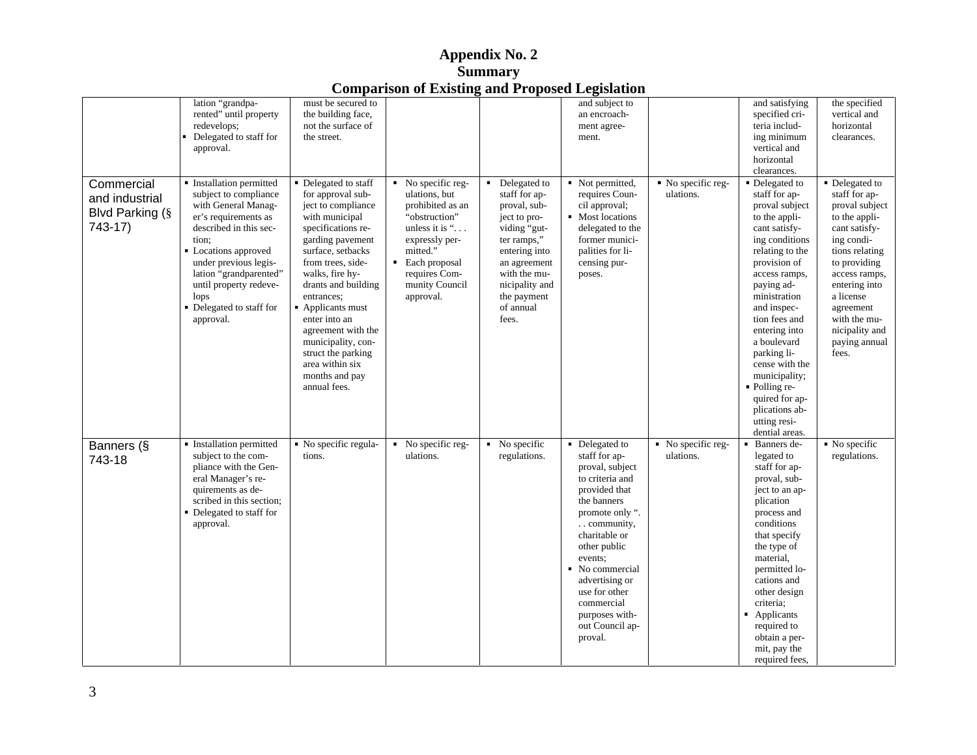|                       |                                                                                |                     | Comparison or Existing and I reposed Ecgistation            |                |                  |                                 |                             |                            |
|-----------------------|--------------------------------------------------------------------------------|---------------------|-------------------------------------------------------------|----------------|------------------|---------------------------------|-----------------------------|----------------------------|
|                       | lation "grandpa-                                                               | must be secured to  |                                                             |                | and subject to   |                                 | and satisfying              | the specified              |
|                       | rented" until property                                                         | the building face,  |                                                             |                | an encroach-     |                                 | specified cri-              | vertical and               |
|                       | redevelops;                                                                    | not the surface of  |                                                             |                | ment agree-      |                                 | teria includ-               | horizontal                 |
|                       | • Delegated to staff for the street.                                           |                     |                                                             |                | ment.            |                                 | ing minimum                 | clearances.                |
|                       | approval.                                                                      |                     |                                                             |                |                  |                                 | vertical and                |                            |
|                       |                                                                                |                     |                                                             |                |                  |                                 | horizontal                  |                            |
|                       |                                                                                |                     |                                                             |                |                  |                                 | clearances.                 |                            |
| Commercial            | Installation permitted Delegated to staff                                      |                     | $\blacksquare$ No specific reg- $\blacksquare$ Delegated to |                |                  | Not permitted, No specific reg- | $\overline{1}$ Delegated to | • Delegated to             |
|                       | subject to compliance                                                          | for approval sub-   | ulations, but                                               | staff for ap-  | requires Coun-   | ulations.                       | staff for ap-               | staff for ap-              |
| and industrial        | with General Manag-                                                            | ject to compliance  | prohibited as an                                            | proval, sub-   | cil approval;    |                                 | proval subject              | proval subject             |
| <b>Blvd Parking (</b> | er's requirements as                                                           | with municipal      | "obstruction"                                               | ject to pro-   | Most locations   |                                 | to the appli-               | to the appli-              |
| 743-17)               | described in this sec-                                                         | specifications re-  | unless it is ".                                             | viding "gut-   | delegated to the |                                 | cant satisfy-               | cant satisfy-              |
|                       |                                                                                |                     |                                                             |                |                  |                                 | ing conditions              |                            |
|                       | tion;                                                                          | garding pavement    | expressly per-                                              | ter ramps,"    | former munici-   |                                 |                             | ing condi-                 |
|                       | • Locations approved                                                           | surface, setbacks   | mitted."                                                    | entering into  | palities for li- |                                 | relating to the             | tions relating             |
|                       | under previous legis-                                                          | from trees, side-   | Each proposal                                               | an agreement   | censing pur-     |                                 | provision of                | to providing               |
|                       | lation "grandparented"                                                         | walks, fire hy-     | requires Com-                                               | with the mu-   | poses.           |                                 | access ramps,               | access ramps,              |
|                       | until property redeve-                                                         | drants and building | munity Council                                              | nicipality and |                  |                                 | paying ad-                  | entering into              |
|                       | lops                                                                           | entrances;          | approval.                                                   | the payment    |                  |                                 | ministration                | a license                  |
|                       | • Delegated to staff for                                                       | Applicants must     |                                                             | of annual      |                  |                                 | and inspec-                 | agreement                  |
|                       | approval.                                                                      | enter into an       |                                                             | fees.          |                  |                                 | tion fees and               | with the mu-               |
|                       |                                                                                | agreement with the  |                                                             |                |                  |                                 | entering into               | nicipality and             |
|                       |                                                                                | municipality, con-  |                                                             |                |                  |                                 | a boulevard                 | paying annual              |
|                       |                                                                                | struct the parking  |                                                             |                |                  |                                 | parking li-                 | fees.                      |
|                       |                                                                                | area within six     |                                                             |                |                  |                                 | cense with the              |                            |
|                       |                                                                                | months and pay      |                                                             |                |                  |                                 | municipality;               |                            |
|                       |                                                                                | annual fees.        |                                                             |                |                  |                                 | • Polling re-               |                            |
|                       |                                                                                |                     |                                                             |                |                  |                                 | quired for ap-              |                            |
|                       |                                                                                |                     |                                                             |                |                  |                                 | plications ab-              |                            |
|                       |                                                                                |                     |                                                             |                |                  |                                 | utting resi-                |                            |
|                       |                                                                                |                     |                                                             |                |                  |                                 | dential areas.              |                            |
| Banners (§            | "Installation permitted   No specific regula-   No specific reg-   No specific |                     |                                                             |                | • Delegated to   | No specific reg-                | Banners de-                 | $\blacksquare$ No specific |
|                       | subject to the com-                                                            | tions.              | ulations.                                                   | regulations.   | staff for ap-    | ulations.                       | legated to                  | regulations.               |
| 743-18                | pliance with the Gen-                                                          |                     |                                                             |                | proval, subject  |                                 | staff for ap-               |                            |
|                       | eral Manager's re-                                                             |                     |                                                             |                | to criteria and  |                                 | proval, sub-                |                            |
|                       | quirements as de-                                                              |                     |                                                             |                | provided that    |                                 | ject to an ap-              |                            |
|                       | scribed in this section;                                                       |                     |                                                             |                | the banners      |                                 | plication                   |                            |
|                       | Delegated to staff for                                                         |                     |                                                             |                | promote only "   |                                 | process and                 |                            |
|                       | approval.                                                                      |                     |                                                             |                | . community,     |                                 | conditions                  |                            |
|                       |                                                                                |                     |                                                             |                | charitable or    |                                 | that specify                |                            |
|                       |                                                                                |                     |                                                             |                | other public     |                                 | the type of                 |                            |
|                       |                                                                                |                     |                                                             |                |                  |                                 | material.                   |                            |
|                       |                                                                                |                     |                                                             |                | events;          |                                 |                             |                            |
|                       |                                                                                |                     |                                                             |                | ■ No commercial  |                                 | permitted lo-               |                            |
|                       |                                                                                |                     |                                                             |                | advertising or   |                                 | cations and                 |                            |
|                       |                                                                                |                     |                                                             |                | use for other    |                                 | other design                |                            |
|                       |                                                                                |                     |                                                             |                | commercial       |                                 | criteria;                   |                            |
|                       |                                                                                |                     |                                                             |                | purposes with-   |                                 | Applicants                  |                            |
|                       |                                                                                |                     |                                                             |                | out Council ap-  |                                 | required to                 |                            |
|                       |                                                                                |                     |                                                             |                | proval.          |                                 | obtain a per-               |                            |
|                       |                                                                                |                     |                                                             |                |                  |                                 | mit, pay the                |                            |
|                       |                                                                                |                     |                                                             |                |                  |                                 | required fees.              |                            |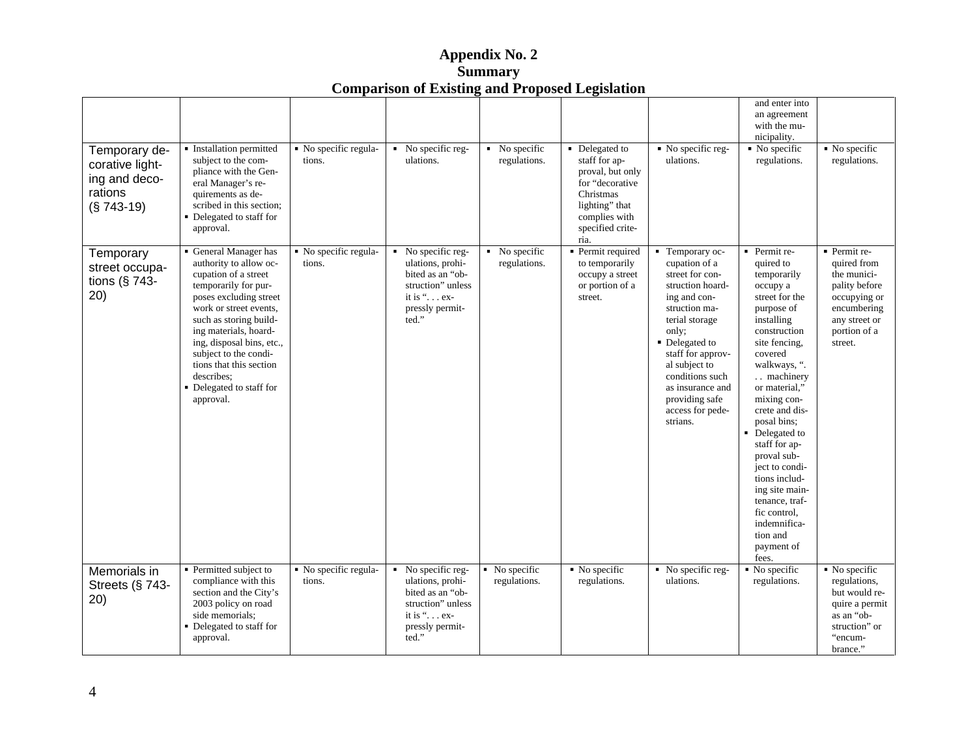| Appendix No. $\angle$<br>--                            |  |
|--------------------------------------------------------|--|
| Summary                                                |  |
| <b>Comparison of Existing and Proposed Legislation</b> |  |

| Temporary de-<br>corative light-<br>ing and deco-<br>rations<br>$(S 743-19)$ | Installation permitted<br>subject to the com-<br>pliance with the Gen-<br>eral Manager's re-<br>quirements as de-<br>scribed in this section;<br>• Delegated to staff for<br>approval.                                                                                                                                                     | No specific regula-<br>tions.   | • No specific reg-<br>ulations.                                                                                                          | $\blacksquare$ No specific<br>regulations. | • Delegated to<br>staff for ap-<br>proval, but only<br>for "decorative<br>Christmas<br>lighting" that<br>complies with<br>specified crite-<br>ria. | $\blacksquare$ No specific reg-<br>ulations.                                                                                                                                                                                                                                         | and enter into<br>an agreement<br>with the mu-<br>nicipality.<br>$\blacksquare$ No specific<br>regulations.                                                                                                                                                                                                                                                                                                       | $\blacksquare$ No specific<br>regulations.                                                                                             |
|------------------------------------------------------------------------------|--------------------------------------------------------------------------------------------------------------------------------------------------------------------------------------------------------------------------------------------------------------------------------------------------------------------------------------------|---------------------------------|------------------------------------------------------------------------------------------------------------------------------------------|--------------------------------------------|----------------------------------------------------------------------------------------------------------------------------------------------------|--------------------------------------------------------------------------------------------------------------------------------------------------------------------------------------------------------------------------------------------------------------------------------------|-------------------------------------------------------------------------------------------------------------------------------------------------------------------------------------------------------------------------------------------------------------------------------------------------------------------------------------------------------------------------------------------------------------------|----------------------------------------------------------------------------------------------------------------------------------------|
| Temporary<br>street occupa-<br>tions ( $§$ 743-<br>20)                       | General Manager has<br>authority to allow oc-<br>cupation of a street<br>temporarily for pur-<br>poses excluding street<br>work or street events,<br>such as storing build-<br>ing materials, hoard-<br>ing, disposal bins, etc.,<br>subject to the condi-<br>tions that this section<br>describes;<br>Delegated to staff for<br>approval. | • No specific regula-<br>tions. | $\blacksquare$ No specific reg-<br>ulations, prohi-<br>bited as an "ob-<br>struction" unless<br>it is ". ex-<br>pressly permit-<br>ted." | $\blacksquare$ No specific<br>regulations. | • Permit required<br>to temporarily<br>occupy a street<br>or portion of a<br>street.                                                               | • Temporary oc-<br>cupation of a<br>street for con-<br>struction hoard-<br>ing and con-<br>struction ma-<br>terial storage<br>only;<br>• Delegated to<br>staff for approv-<br>al subject to<br>conditions such<br>as insurance and<br>providing safe<br>access for pede-<br>strians. | • Permit re-<br>quired to<br>temporarily<br>occupy a<br>street for the<br>purpose of<br>installing<br>construction<br>site fencing,<br>covered<br>walkways, ".<br>. machinery<br>or material,"<br>mixing con-<br>crete and dis-<br>posal bins;<br>Delegated to<br>staff for ap-<br>proval sub-<br>ject to condi-<br>tions includ-<br>ing site main-<br>tenance, traf-<br>fic control,<br>indemnifica-<br>tion and | • Permit re-<br>quired from<br>the munici-<br>pality before<br>occupying or<br>encumbering<br>any street or<br>portion of a<br>street. |
| Memorials in<br>Streets (§ 743-<br>20)                                       | • Permitted subject to<br>compliance with this<br>section and the City's<br>2003 policy on road<br>side memorials;<br>Delegated to staff for<br>approval.                                                                                                                                                                                  | · No specific regula-<br>tions. | No specific reg-<br>ulations, prohi-<br>bited as an "ob-<br>struction" unless<br>it is ". ex-<br>pressly permit-<br>ted."                | No specific<br>regulations.                | $\blacksquare$ No specific<br>regulations.                                                                                                         | No specific reg-<br>ulations.                                                                                                                                                                                                                                                        | payment of<br>fees.<br>$\blacksquare$ No specific<br>regulations.                                                                                                                                                                                                                                                                                                                                                 | $\blacksquare$ No specific<br>regulations,<br>but would re-<br>quire a permit<br>as an "ob-<br>struction" or<br>"encum-<br>brance."    |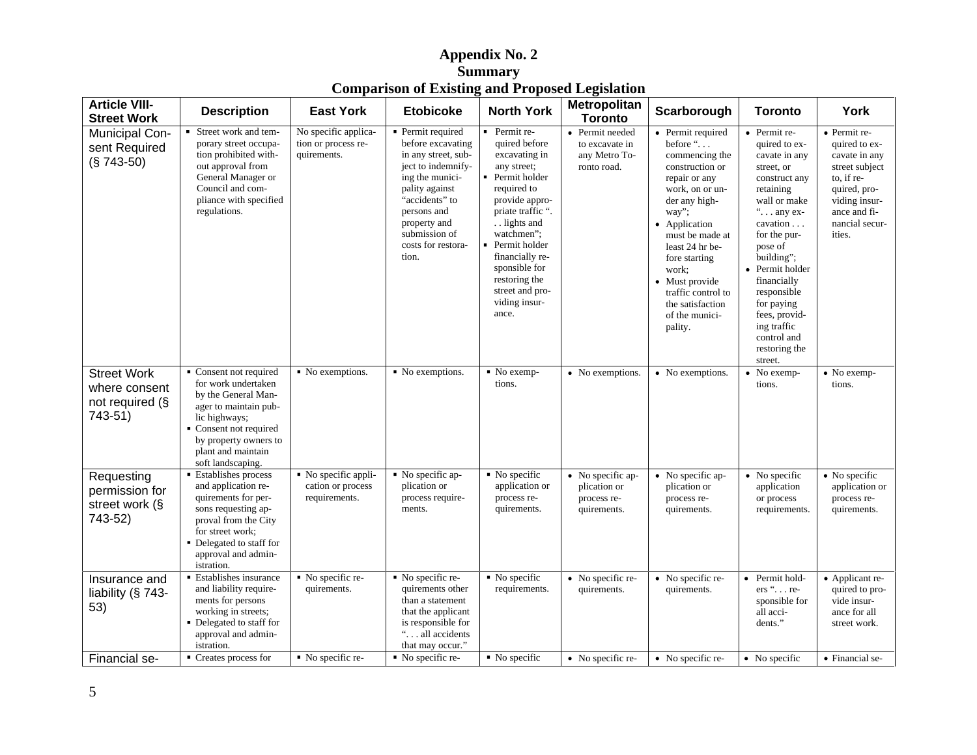| <b>Article VIII-</b><br><b>Street Work</b>                | <b>Description</b>                                                                                                                                                                                    | <b>East York</b>                                           | <b>Etobicoke</b>                                                                                                                                                                                                        | <b>North York</b>                                                                                                                                                                                                                                                                    | Metropolitan<br><b>Toronto</b>                                    | Scarborough                                                                                                                                                                                                                                                                                           | <b>Toronto</b>                                                                                                                                                                                                                                                               | York                                                                                                                                                        |
|-----------------------------------------------------------|-------------------------------------------------------------------------------------------------------------------------------------------------------------------------------------------------------|------------------------------------------------------------|-------------------------------------------------------------------------------------------------------------------------------------------------------------------------------------------------------------------------|--------------------------------------------------------------------------------------------------------------------------------------------------------------------------------------------------------------------------------------------------------------------------------------|-------------------------------------------------------------------|-------------------------------------------------------------------------------------------------------------------------------------------------------------------------------------------------------------------------------------------------------------------------------------------------------|------------------------------------------------------------------------------------------------------------------------------------------------------------------------------------------------------------------------------------------------------------------------------|-------------------------------------------------------------------------------------------------------------------------------------------------------------|
| <b>Municipal Con-</b><br>sent Required<br>$(S 743-50)$    | Street work and tem-<br>porary street occupa-<br>tion prohibited with-<br>out approval from<br>General Manager or<br>Council and com-<br>pliance with specified<br>regulations.                       | No specific applica-<br>tion or process re-<br>quirements. | Permit required<br>before excavating<br>in any street, sub-<br>ject to indemnify-<br>ing the munici-<br>pality against<br>"accidents" to<br>persons and<br>property and<br>submission of<br>costs for restora-<br>tion. | • Permit re-<br>quired before<br>excavating in<br>any street;<br>Permit holder<br>required to<br>provide appro-<br>priate traffic "<br>. lights and<br>watchmen":<br>Permit holder<br>financially re-<br>sponsible for<br>restoring the<br>street and pro-<br>viding insur-<br>ance. | • Permit needed<br>to excavate in<br>any Metro To-<br>ronto road. | • Permit required<br>before $\ldots$<br>commencing the<br>construction or<br>repair or any<br>work, on or un-<br>der any high-<br>way";<br>• Application<br>must be made a<br>least 24 hr be-<br>fore starting<br>work;<br>• Must provide<br>traffic control to<br>the satisfaction<br>of the munici- | $\bullet$ Permit re-<br>quired to ex-<br>cavate in any<br>street, or<br>construct any<br>retaining<br>wall or make<br>$\ldots$ any ex-<br>cavation.<br>for the pur-<br>pose of<br>building";<br>• Permit holder<br>financially<br>responsible<br>for paying<br>fees, provid- | • Permit re-<br>quired to ex-<br>cavate in any<br>street subject<br>to, if re-<br>quired, pro-<br>viding insur-<br>ance and fi-<br>nancial secur-<br>ities. |
| <b>Street Work</b>                                        | • Consent not required • No exemptions.                                                                                                                                                               |                                                            | • No exemptions.                                                                                                                                                                                                        | $\blacksquare$ No exemp-                                                                                                                                                                                                                                                             | • No exemptions.                                                  | pality.<br>$\bullet$ No exemptions.                                                                                                                                                                                                                                                                   | ing traffic<br>control and<br>restoring the<br>street.<br>$\bullet$ No exemp-                                                                                                                                                                                                | $\bullet$ No exemp-                                                                                                                                         |
| where consent<br>not required (§<br>743-51)               | for work undertaken<br>by the General Man-<br>ager to maintain pub-<br>lic highways;<br>• Consent not required<br>by property owners to<br>plant and maintain<br>soft landscaping.                    |                                                            |                                                                                                                                                                                                                         | tions.                                                                                                                                                                                                                                                                               |                                                                   |                                                                                                                                                                                                                                                                                                       | tions.                                                                                                                                                                                                                                                                       | tions.                                                                                                                                                      |
| Requesting<br>permission for<br>street work (§<br>743-52) | Establishes process<br>and application re-<br>quirements for per-<br>sons requesting ap-<br>proval from the City<br>for street work;<br>• Delegated to staff for<br>approval and admin-<br>istration. | No specific appli-<br>cation or process<br>requirements.   | No specific ap-<br>plication or<br>process require-<br>ments.                                                                                                                                                           | $\blacksquare$ No specific<br>application or<br>process re-<br>quirements.                                                                                                                                                                                                           | • No specific ap-<br>plication or<br>process re-<br>quirements.   | • No specific ap-<br>plication or<br>process re-<br>quirements.                                                                                                                                                                                                                                       | $\bullet$ No specific<br>application<br>or process<br>requirements                                                                                                                                                                                                           | • No specific<br>application or<br>process re-<br>quirements.                                                                                               |
| Insurance and<br>liability (§ 743-<br>53)                 | <b>Establishes insurance</b><br>and liability require-<br>ments for persons<br>working in streets;<br>• Delegated to staff for<br>approval and admin-<br><i>istration.</i>                            | No specific re<br>quirements.                              | No specific re-<br>quirements other<br>than a statement<br>that the applicant<br>is responsible for<br>" all accidents"<br>that may occur.'                                                                             | • No specific<br>requirements.                                                                                                                                                                                                                                                       | • No specific re-<br>quirements.                                  | • No specific re-<br>quirements.                                                                                                                                                                                                                                                                      | • Permit hold-<br>$ers$ " re-<br>sponsible fo<br>all acci-<br>dents.'                                                                                                                                                                                                        | · Applicant re-<br>quired to pro-<br>vide insur-<br>ance for all<br>street work.                                                                            |
| Financial se-                                             | $\blacksquare$ Creates process for                                                                                                                                                                    | $\blacksquare$ No specific re-                             | • No specific re-                                                                                                                                                                                                       | $\blacksquare$ No specific                                                                                                                                                                                                                                                           |                                                                   | • No specific re- • No specific re-                                                                                                                                                                                                                                                                   | $\bullet$ No specific                                                                                                                                                                                                                                                        | • Financial se-                                                                                                                                             |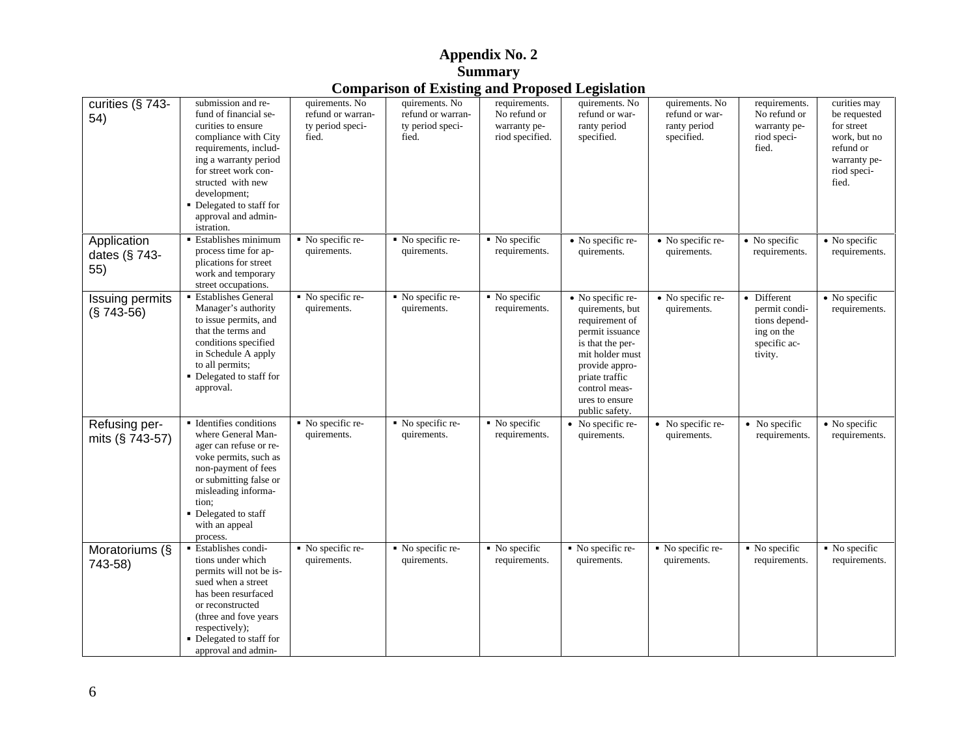|                                     |                                                                                                                                                                                                                                                                         |                                                                  |                                                                  |                                                                  | and 110 posed Legislation                                                                                                                                                                                 |                                                                |                                                                                        |                                                                                                                 |
|-------------------------------------|-------------------------------------------------------------------------------------------------------------------------------------------------------------------------------------------------------------------------------------------------------------------------|------------------------------------------------------------------|------------------------------------------------------------------|------------------------------------------------------------------|-----------------------------------------------------------------------------------------------------------------------------------------------------------------------------------------------------------|----------------------------------------------------------------|----------------------------------------------------------------------------------------|-----------------------------------------------------------------------------------------------------------------|
| curities (§ 743-<br>54)             | submission and re-<br>fund of financial se-<br>curities to ensure<br>compliance with City<br>requirements, includ-<br>ing a warranty period<br>for street work con-<br>structed with new<br>development;<br>Delegated to staff for<br>approval and admin-<br>istration. | quirements. No<br>refund or warran-<br>ty period speci-<br>fied. | quirements. No<br>refund or warran-<br>ty period speci-<br>fied. | requirements.<br>No refund or<br>warranty pe-<br>riod specified. | quirements. No<br>refund or war-<br>ranty period<br>specified.                                                                                                                                            | quirements. No<br>refund or war-<br>ranty period<br>specified. | requirements.<br>No refund or<br>warranty pe-<br>riod speci-<br>fied.                  | curities may<br>be requested<br>for street<br>work, but no<br>refund or<br>warranty pe-<br>riod speci-<br>fied. |
| Application<br>dates (§ 743-<br>55) | <b>Establishes minimum</b><br>process time for ap-<br>plications for street<br>work and temporary<br>street occupations.                                                                                                                                                | • No specific re-<br>quirements.                                 | • No specific re-<br>quirements.                                 | • No specific<br>requirements.                                   | • No specific re-<br>quirements.                                                                                                                                                                          | • No specific re-<br>quirements.                               | • No specific<br>requirements.                                                         | • No specific<br>requirements.                                                                                  |
| Issuing permits<br>$(S 743-56)$     | <b>Establishes General</b><br>Manager's authority<br>to issue permits, and<br>that the terms and<br>conditions specified<br>in Schedule A apply<br>to all permits;<br>Delegated to staff for<br>approval.                                                               | • No specific re-<br>quirements.                                 | No specific re-<br>quirements.                                   | • No specific<br>requirements.                                   | • No specific re-<br>quirements, but<br>requirement of<br>permit issuance<br>is that the per-<br>mit holder must<br>provide appro-<br>priate traffic<br>control meas-<br>ures to ensure<br>public safety. | • No specific re-<br>quirements.                               | · Different<br>permit condi-<br>tions depend-<br>ing on the<br>specific ac-<br>tivity. | • No specific<br>requirements.                                                                                  |
| Refusing per-<br>mits $(§ 743-57)$  | Identifies conditions<br>where General Man-<br>ager can refuse or re-<br>voke permits, such as<br>non-payment of fees<br>or submitting false or<br>misleading informa-<br>tion:<br>Delegated to staff<br>with an appeal<br>process.                                     | • No specific re-<br>quirements.                                 | • No specific re-<br>quirements.                                 | ■ No specific<br>requirements.                                   | • No specific re-<br>quirements.                                                                                                                                                                          | • No specific re-<br>quirements.                               | • No specific<br>requirements.                                                         | • No specific<br>requirements.                                                                                  |
| Moratoriums (§<br>743-58)           | Establishes condi-<br>tions under which<br>permits will not be is-<br>sued when a street<br>has been resurfaced<br>or reconstructed<br>(three and fove years<br>respectively);<br>Delegated to staff for<br>approval and admin-                                         | $\blacksquare$ No specific re-<br>quirements.                    | No specific re-<br>quirements.                                   | • No specific<br>requirements.                                   | No specific re-<br>quirements.                                                                                                                                                                            | • No specific re-<br>quirements.                               | • No specific<br>requirements.                                                         | $\blacksquare$ No specific<br>requirements.                                                                     |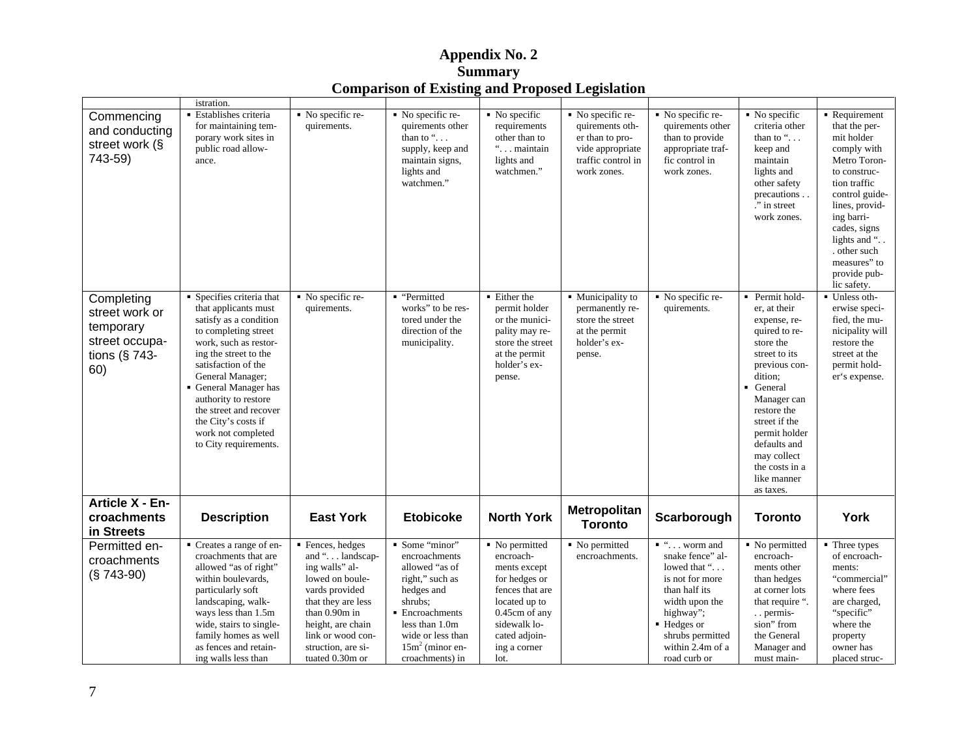|                                              |                           | ---                           | $\frac{1}{2}$     |                            |                                |                                |                            |                            |
|----------------------------------------------|---------------------------|-------------------------------|-------------------|----------------------------|--------------------------------|--------------------------------|----------------------------|----------------------------|
|                                              | <i>istration.</i>         |                               |                   |                            |                                |                                |                            |                            |
| Commencing                                   | Establishes criteria      | $\blacksquare$ No specific re | No specific re-   | $\blacksquare$ No specific | • No specific re-              | $\blacksquare$ No specific re- | $\blacksquare$ No specific | Requirement                |
| and conducting                               | for maintaining tem-      | quirements.                   | quirements other  | requirements               | quirements oth-                | quirements other               | criteria other             | that the per-              |
|                                              | porary work sites in      |                               | than to "         | other than to              | er than to pro-                | than to provide                | than to ".                 | mit holder                 |
| street work (§                               | public road allow-        |                               | supply, keep and  | " maintain                 | vide appropriate               | appropriate traf-              | keep and                   | comply with                |
| 743-59)                                      | ance.                     |                               | maintain signs,   | lights and                 | traffic control in             | fic control in                 | maintain                   | Metro Toron-               |
|                                              |                           |                               | lights and        | watchmen.'                 | work zones.                    | work zones.                    | lights and                 | to construc-               |
|                                              |                           |                               | watchmen.'        |                            |                                |                                | other safety               | tion traffic               |
|                                              |                           |                               |                   |                            |                                |                                | precautions                | control guide-             |
|                                              |                           |                               |                   |                            |                                |                                | " in street                | lines, provid-             |
|                                              |                           |                               |                   |                            |                                |                                | work zones.                | ing barri-                 |
|                                              |                           |                               |                   |                            |                                |                                |                            | cades, signs               |
|                                              |                           |                               |                   |                            |                                |                                |                            | lights and "               |
|                                              |                           |                               |                   |                            |                                |                                |                            | other such                 |
|                                              |                           |                               |                   |                            |                                |                                |                            | measures" to               |
|                                              |                           |                               |                   |                            |                                |                                |                            | provide pub-               |
|                                              |                           |                               |                   |                            |                                |                                |                            | lic safety.                |
| Completing                                   | ■ Specifies criteria that | • No specific re              | · "Permitted      | ■ Either the               | • Municipality to              | $\blacksquare$ No specific re- | Permit hold-               | Unless oth-                |
| street work or                               | that applicants must      | quirements.                   | works" to be res  | permit holder              | permanently re-                | quirements.                    | er, at their               | erwise speci-              |
| temporary                                    | satisfy as a condition    |                               | tored under the   | or the munici-             | store the street               |                                | expense, re-               | fied, the mu-              |
|                                              | to completing street      |                               | direction of the  | pality may re              | at the permit                  |                                | quired to re-              | nicipality will            |
| street occupa-                               | work, such as restor-     |                               | municipality.     | store the street           | holder's ex-                   |                                | store the                  | restore the                |
| tions ( $§$ 743-                             | ing the street to the     |                               |                   | at the permit              | pense.                         |                                | street to its              | street at the              |
| 60)                                          | satisfaction of the       |                               |                   | holder's ex-               |                                |                                | previous con-              | permit hold-               |
|                                              | General Manager;          |                               |                   | pense.                     |                                |                                | dition;                    | er's expense.              |
|                                              | General Manager has       |                               |                   |                            |                                |                                | General                    |                            |
|                                              | authority to restore      |                               |                   |                            |                                |                                | Manager can                |                            |
|                                              | the street and recover    |                               |                   |                            |                                |                                | restore the                |                            |
|                                              | the City's costs if       |                               |                   |                            |                                |                                | street if the              |                            |
|                                              | work not completed        |                               |                   |                            |                                |                                | permit holder              |                            |
|                                              | to City requirements.     |                               |                   |                            |                                |                                | defaults and               |                            |
|                                              |                           |                               |                   |                            |                                |                                | may collect                |                            |
|                                              |                           |                               |                   |                            |                                |                                | the costs in a             |                            |
|                                              |                           |                               |                   |                            |                                |                                | like manner                |                            |
|                                              |                           |                               |                   |                            |                                |                                | as taxes.                  |                            |
| Article X - En-<br>croachments<br>in Streets | <b>Description</b>        | <b>East York</b>              | <b>Etobicoke</b>  | <b>North York</b>          | Metropolitan<br><b>Toronto</b> | Scarborough                    | <b>Toronto</b>             | York                       |
| Permitted en-                                | Creates a range of en-    | • Fences, hedges              | Some "minor"      | • No permitted             | No permitted                   | $\cdots$ worm and              | • No permitted             | $\blacksquare$ Three types |
|                                              | croachments that are      | and ". landscap-              | encroachments     | encroach-                  | encroachments.                 | snake fence" al-               | encroach-                  | of encroach-               |
| croachments                                  | allowed "as of right"     | ing walls" al-                | allowed "as of    | ments except               |                                | lowed that "                   | ments other                | ments:                     |
| $(S 743-90)$                                 | within boulevards,        | lowed on boule-               | right," such as   | for hedges or              |                                | is not for more                | than hedges                | "commercial"               |
|                                              | particularly soft         | vards provided                | hedges and        | fences that are            |                                | than half its                  | at corner lots             | where fees                 |
|                                              | landscaping, walk-        | that they are less            | shrubs;           | located up to              |                                | width upon the                 | that require               | are charged,               |
|                                              | ways less than 1.5m       | than $0.90m$ in               | Encroachments     | $0.45cm$ of any            |                                | highway"                       | . permis-                  | "specific"                 |
|                                              | wide, stairs to single-   | height, are chain             | less than 1.0m    | sidewalk lo-               |                                | • Hedges or                    | sion" from                 | where the                  |
|                                              | family homes as well      | link or wood con-             | wide or less than | cated adjoin-              |                                | shrubs permitted               | the General                | property                   |
|                                              | as fences and retain-     | struction, are si-            | $15m2$ (minor en- | ing a corner               |                                | within 2.4m of a               | Manager and                | owner has                  |
|                                              | ing walls less than       | tuated 0.30m or               | croachments) in   | lot.                       |                                | road curb or                   | must main-                 | placed struc-              |
|                                              |                           |                               |                   |                            |                                |                                |                            |                            |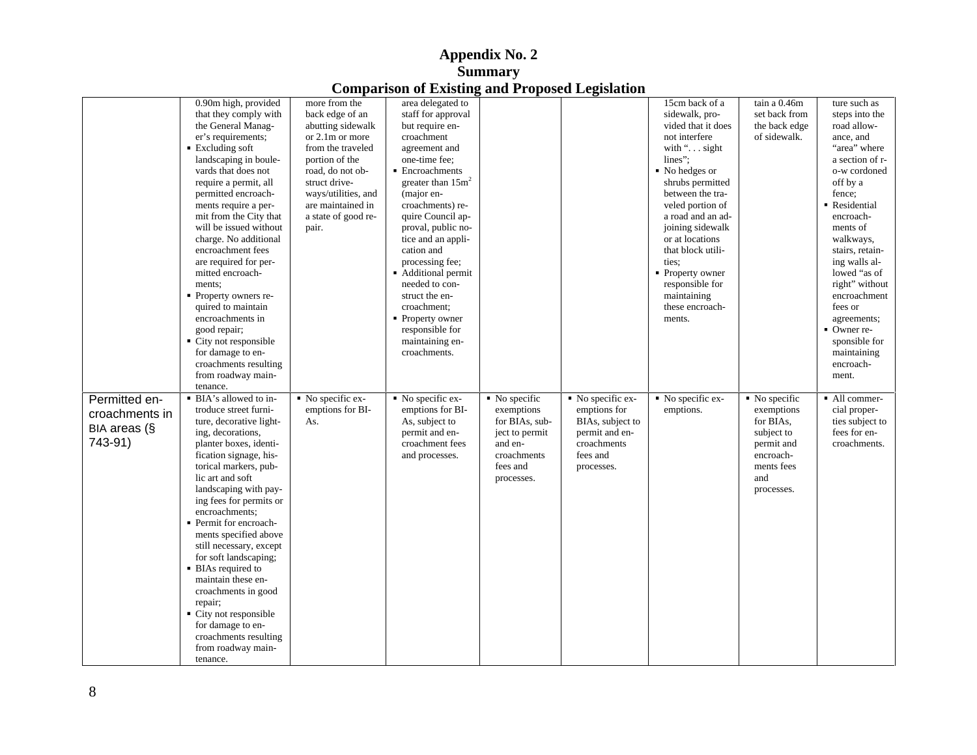|                |                                                  |                                | comparison of Embring and Troposed Ecquidation |                            |                                |                                |                            |                              |
|----------------|--------------------------------------------------|--------------------------------|------------------------------------------------|----------------------------|--------------------------------|--------------------------------|----------------------------|------------------------------|
|                | 0.90m high, provided                             | more from the                  | area delegated to                              |                            |                                | 15cm back of a                 | tain a 0.46m               | ture such as                 |
|                | that they comply with                            | back edge of an                | staff for approval                             |                            |                                | sidewalk, pro-                 | set back from              | steps into the               |
|                | the General Manag-                               | abutting sidewalk              | but require en-                                |                            |                                | vided that it does             | the back edge              | road allow-                  |
|                | er's requirements;                               | or 2.1m or more                | croachment                                     |                            |                                | not interfere                  | of sidewalk.               | ance, and                    |
|                | ■ Excluding soft                                 | from the traveled              | agreement and                                  |                            |                                | with ". sight                  |                            | "area" where                 |
|                | landscaping in boule-                            | portion of the                 | one-time fee;                                  |                            |                                | lines";                        |                            | a section of r-              |
|                | vards that does not                              | road, do not ob-               | Encroachments                                  |                            |                                | No hedges or                   |                            | o-w cordoned                 |
|                | require a permit, all                            | struct drive-                  | greater than $15m^2$                           |                            |                                | shrubs permitted               |                            | off by a                     |
|                | permitted encroach-                              | ways/utilities, and            | (major en-                                     |                            |                                | between the tra-               |                            | fence;                       |
|                | ments require a per-                             | are maintained in              | croachments) re-                               |                            |                                | veled portion of               |                            | Residential                  |
|                | mit from the City that                           | a state of good re-            | quire Council ap-                              |                            |                                | a road and an ad-              |                            | encroach-                    |
|                | will be issued without                           | pair.                          | proval, public no-                             |                            |                                | joining sidewalk               |                            | ments of                     |
|                | charge. No additional                            |                                | tice and an appli-                             |                            |                                | or at locations                |                            | walkways,                    |
|                | encroachment fees                                |                                | cation and                                     |                            |                                | that block utili-              |                            | stairs, retain-              |
|                | are required for per-                            |                                | processing fee;                                |                            |                                | ties;                          |                            | ing walls al-                |
|                | mitted encroach-                                 |                                | Additional permit                              |                            |                                | • Property owner               |                            | lowed "as of                 |
|                | ments;                                           |                                | needed to con-                                 |                            |                                | responsible for                |                            | right" without               |
|                | • Property owners re-                            |                                | struct the en-                                 |                            |                                | maintaining                    |                            | encroachment                 |
|                | quired to maintain                               |                                | croachment;                                    |                            |                                | these encroach-                |                            | fees or                      |
|                | encroachments in                                 |                                | • Property owner                               |                            |                                | ments.                         |                            | agreements;                  |
|                | good repair;<br>• City not responsible           |                                | responsible for<br>maintaining en-             |                            |                                |                                |                            | • Owner re-<br>sponsible for |
|                | for damage to en-                                |                                | croachments.                                   |                            |                                |                                |                            | maintaining                  |
|                | croachments resulting                            |                                |                                                |                            |                                |                                |                            | encroach-                    |
|                | from roadway main-                               |                                |                                                |                            |                                |                                |                            | ment.                        |
|                | tenance.                                         |                                |                                                |                            |                                |                                |                            |                              |
|                | • BIA's allowed to in-                           | $\blacksquare$ No specific ex- | $\blacksquare$ No specific ex-                 | $\blacksquare$ No specific | $\blacksquare$ No specific ex- | $\blacksquare$ No specific ex- | $\blacksquare$ No specific | • All commer-                |
| Permitted en-  | troduce street furni-                            | emptions for BI-               | emptions for BI-                               | exemptions                 | emptions for                   | emptions.                      | exemptions                 | cial proper-                 |
| croachments in | ture, decorative light-                          | As.                            | As, subject to                                 | for BIAs, sub-             | BIAs, subject to               |                                | for BIAs,                  | ties subject to              |
| BIA areas (§   | ing, decorations,                                |                                | permit and en-                                 | ject to permit             | permit and en-                 |                                | subject to                 | fees for en-                 |
| 743-91)        | planter boxes, identi-                           |                                | croachment fees                                | and en-                    | croachments                    |                                | permit and                 | croachments.                 |
|                | fication signage, his-                           |                                | and processes.                                 | croachments                | fees and                       |                                | encroach-                  |                              |
|                | torical markers, pub-                            |                                |                                                | fees and                   | processes.                     |                                | ments fees                 |                              |
|                | lic art and soft                                 |                                |                                                | processes.                 |                                |                                | and                        |                              |
|                | landscaping with pay-                            |                                |                                                |                            |                                |                                | processes.                 |                              |
|                | ing fees for permits or                          |                                |                                                |                            |                                |                                |                            |                              |
|                | encroachments;                                   |                                |                                                |                            |                                |                                |                            |                              |
|                | • Permit for encroach-                           |                                |                                                |                            |                                |                                |                            |                              |
|                | ments specified above                            |                                |                                                |                            |                                |                                |                            |                              |
|                |                                                  |                                |                                                |                            |                                |                                |                            |                              |
|                | still necessary, except<br>for soft landscaping; |                                |                                                |                            |                                |                                |                            |                              |
|                | • BIAs required to                               |                                |                                                |                            |                                |                                |                            |                              |
|                | maintain these en-                               |                                |                                                |                            |                                |                                |                            |                              |
|                |                                                  |                                |                                                |                            |                                |                                |                            |                              |
|                | croachments in good                              |                                |                                                |                            |                                |                                |                            |                              |
|                | repair;<br>• City not responsible                |                                |                                                |                            |                                |                                |                            |                              |
|                | for damage to en-                                |                                |                                                |                            |                                |                                |                            |                              |
|                | croachments resulting                            |                                |                                                |                            |                                |                                |                            |                              |
|                |                                                  |                                |                                                |                            |                                |                                |                            |                              |
|                | from roadway main-                               |                                |                                                |                            |                                |                                |                            |                              |
|                | tenance.                                         |                                |                                                |                            |                                |                                |                            |                              |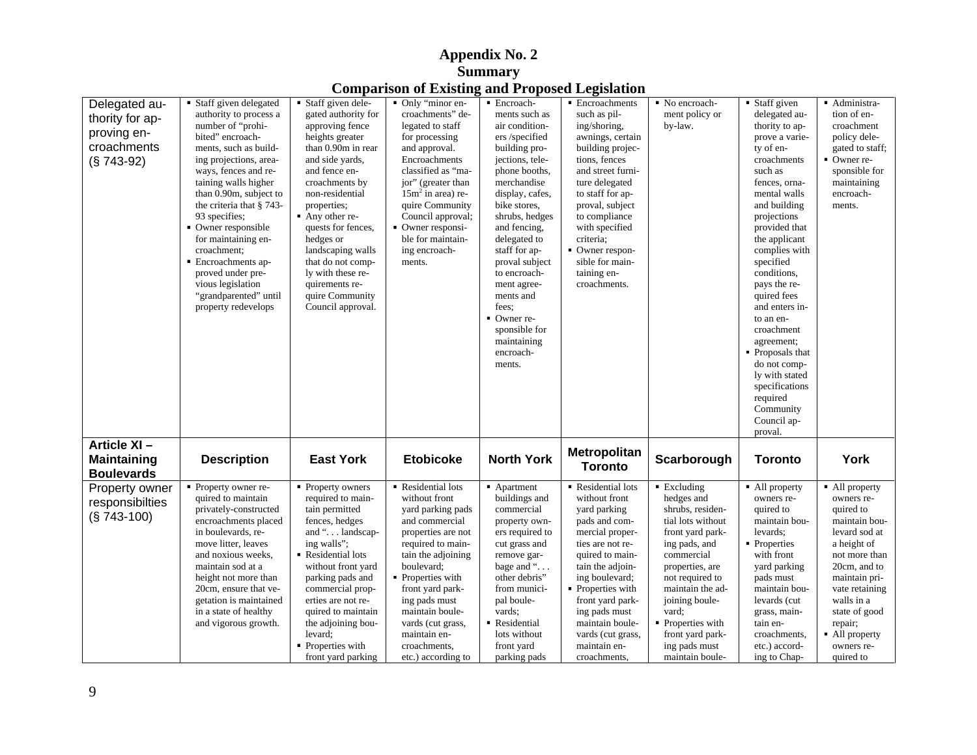|                    |                                               |                                  | <b>Comparison of Existing and Proposed Legislation</b> |                                  |                                     |                                |                              |                         |
|--------------------|-----------------------------------------------|----------------------------------|--------------------------------------------------------|----------------------------------|-------------------------------------|--------------------------------|------------------------------|-------------------------|
| Delegated au-      | Staff given delegated                         | Staff given dele-                | • Only "minor en-                                      | · Encroach-                      | Encroachments                       | $\blacksquare$ No encroach-    | $\blacksquare$ Staff given   | - Administra-           |
|                    | authority to process a                        | gated authority for              | croachments" de                                        | ments such as                    | such as pil-                        | ment policy or                 | delegated au                 | tion of en-             |
| thority for ap-    | -number of "prohi                             | approving fence                  | legated to staff                                       | air condition-                   | ing/shoring,                        | by-law.                        | thority to ap                | croachment              |
| proving en-        | bited" encroach-                              | heights greater                  | for processing                                         | ers /specified                   | awnings, certain                    |                                | prove a varie-               | policy dele-            |
| croachments        | ments, such as build-                         | than 0.90m in rear               | and approval.                                          | building pro-                    | building projec-                    |                                | ty of en-                    | gated to staff:         |
| $(S 743-92)$       | ing projections, area-                        | and side yards,                  | Encroachments                                          | jections, tele-                  | tions, fences                       |                                | croachments                  | Owner re-               |
|                    | ways, fences and re-                          | and fence en-                    | classified as "ma                                      | phone booths                     | and street furni-                   |                                | such as                      | sponsible for           |
|                    | taining walls higher                          | croachments by                   | jor" (greater than                                     | merchandise                      | ture delegated                      |                                | fences, orna                 | maintaining             |
|                    | than 0.90m, subject to                        | non-residential                  | $15m2$ in area) re-                                    | display, cafes,                  | to staff for ap-                    |                                | mental walls                 | encroach-               |
|                    | the criteria that § 743-                      | properties;                      | quire Community                                        | bike stores,                     | proval, subject                     |                                | and building                 | ments.                  |
|                    | 93 specifies;                                 | Any other re-                    | Council approval                                       | shrubs, hedges                   | to compliance                       |                                | projections                  |                         |
|                    | Owner responsible                             | quests for fences                | • Owner responsi-                                      | and fencing,                     | with specified                      |                                | provided tha                 |                         |
|                    | for maintaining en-                           | hedges or                        | ble for maintain-                                      | delegated to                     | criteria;                           |                                | the applicant                |                         |
|                    | croachment:                                   | landscaping walls                | ing encroach-                                          | staff for ap-                    | Owner respon-                       |                                | complies with                |                         |
|                    | Encroachments ap-                             | that do not comp-                | ments.                                                 | proval subject                   | sible for main-                     |                                | specified                    |                         |
|                    | proved under pre-                             | ly with these re-                |                                                        | to encroach-                     | taining en-                         |                                | conditions.                  |                         |
|                    | vious legislation                             | quirements re-                   |                                                        | ment agree-                      | croachments.                        |                                | pays the re-                 |                         |
|                    | "grandparented" until<br>property redevelops  | quire Community                  |                                                        | ments and<br>fees;               |                                     |                                | quired fees<br>and enters in |                         |
|                    |                                               | Council approval.                |                                                        | Owner re-                        |                                     |                                | to an en-                    |                         |
|                    |                                               |                                  |                                                        | sponsible for                    |                                     |                                | croachment                   |                         |
|                    |                                               |                                  |                                                        | maintaining                      |                                     |                                | agreement;                   |                         |
|                    |                                               |                                  |                                                        | encroach-                        |                                     |                                | Proposals tha                |                         |
|                    |                                               |                                  |                                                        | ments.                           |                                     |                                | do not comp-                 |                         |
|                    |                                               |                                  |                                                        |                                  |                                     |                                | ly with stated               |                         |
|                    |                                               |                                  |                                                        |                                  |                                     |                                | specifications               |                         |
|                    |                                               |                                  |                                                        |                                  |                                     |                                | required                     |                         |
|                    |                                               |                                  |                                                        |                                  |                                     |                                | Community                    |                         |
|                    |                                               |                                  |                                                        |                                  |                                     |                                | Council ap-                  |                         |
|                    |                                               |                                  |                                                        |                                  |                                     |                                | proval.                      |                         |
| Article XI-        |                                               |                                  |                                                        |                                  |                                     |                                |                              |                         |
| <b>Maintaining</b> | <b>Description</b>                            | <b>East York</b>                 | <b>Etobicoke</b>                                       | <b>North York</b>                | Metropolitan                        | Scarborough                    | <b>Toronto</b>               | York                    |
| <b>Boulevards</b>  |                                               |                                  |                                                        |                                  | <b>Toronto</b>                      |                                |                              |                         |
|                    |                                               |                                  |                                                        |                                  |                                     |                                |                              |                         |
| Property owner     | • Property owner re-                          | Property owners                  | Residential lots                                       | Apartment                        | Residential lots                    | ■ Excluding                    | • All property               | • All property          |
| responsibilties    | quired to maintain                            | required to main-                | without front                                          | buildings and                    | without front                       | hedges and<br>shrubs, residen- | owners re-<br>quired to      | owners re-<br>quired to |
| (§ 743-100)        | privately-constructed<br>encroachments placed | tain permitted<br>fences, hedges | yard parking pads<br>and commercial                    | commercial                       | yard parking<br>pads and com-       | tial lots without              | maintain bou                 | maintain bou-           |
|                    | in boulevards, re-                            | and " landscap                   |                                                        | property own-                    |                                     |                                | levards;                     | levard sod at           |
|                    | move litter, leaves                           | ing walls";                      | properties are no<br>required to main-                 | ers required to<br>cut grass and | mercial proper-<br>ties are not re- | front yard park                | Properties                   | a height of             |
|                    | and noxious weeks,                            | Residential lots                 | tain the adjoining                                     | remove gar-                      | quired to main-                     | ing pads, and<br>commercial    | with front                   | not more than           |
|                    | maintain sod at a                             | without front yard               | boulevard;                                             | bage and "                       | tain the adjoin-                    | properties, are                | yard parking                 | 20cm, and to            |
|                    | height not more than                          | parking pads and                 | Properties with                                        | other debris"                    | ing boulevard;                      | not required to                | pads must                    | maintain pri-           |
|                    | 20cm, ensure that ve-                         | commercial prop-                 | front yard park-                                       | from munici-                     | Properties with                     | maintain the ad-               | maintain bou                 | vate retaining          |
|                    | getation is maintained                        | erties are not re-               | ing pads must                                          | pal boule-                       | front yard park-                    | joining boule-                 | levards (cut                 | walls in a              |
|                    | in a state of healthy                         | quired to maintain               | maintain boule-                                        | vards;                           | ing pads must                       | vard;                          | grass, main-                 | state of good           |
|                    | and vigorous growth                           | the adjoining bou-               | vards (cut grass,                                      | Residential                      | maintain boule-                     | Properties with                | tain en-                     | repair;                 |
|                    |                                               | levard;                          | maintain en-                                           | lots without                     | vards (cut grass                    | front yard park                | croachments                  | All property            |
|                    |                                               | Properties with                  | croachments,                                           | front yard                       | maintain en-                        | ing pads must                  | etc.) accord-                | owners re-              |
|                    |                                               | front vard parking               | etc.) according to                                     | parking pads                     | croachments.                        | maintain boule-                | ing to Chap-                 | quired to               |

# **Appendix No. 2 Summary**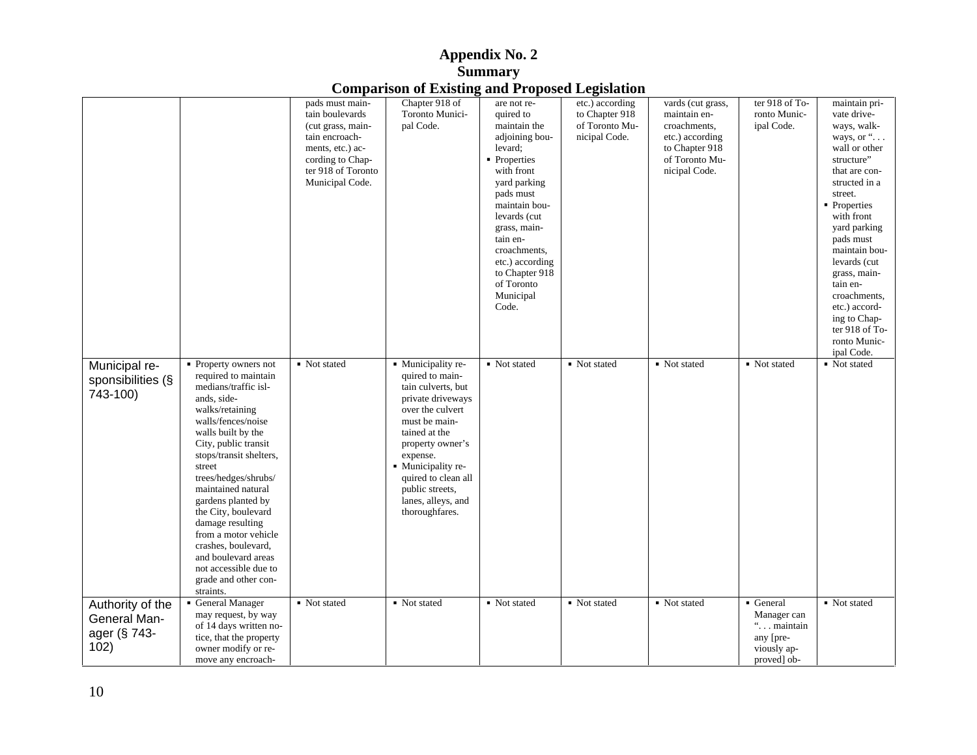|                   |                                              |                    | Comparison of Existing and I reposed Ecgistation |                 |                 |                   |                |                |
|-------------------|----------------------------------------------|--------------------|--------------------------------------------------|-----------------|-----------------|-------------------|----------------|----------------|
|                   |                                              | pads must main-    | Chapter 918 of                                   | are not re-     | etc.) according | vards (cut grass, | ter 918 of To- | maintain pri-  |
|                   |                                              | tain boulevards    | Toronto Munici-                                  | quired to       | to Chapter 918  | maintain en-      | ronto Munic-   | vate drive-    |
|                   |                                              | (cut grass, main-  | pal Code.                                        | maintain the    | of Toronto Mu-  | croachments,      | ipal Code.     | ways, walk-    |
|                   |                                              | tain encroach-     |                                                  | adjoining bou-  | nicipal Code.   | etc.) according   |                | ways, or "     |
|                   |                                              | ments, etc.) ac-   |                                                  | levard;         |                 | to Chapter 918    |                | wall or other  |
|                   |                                              | cording to Chap-   |                                                  | • Properties    |                 | of Toronto Mu-    |                | structure"     |
|                   |                                              | ter 918 of Toronto |                                                  | with front      |                 | nicipal Code.     |                | that are con-  |
|                   |                                              | Municipal Code.    |                                                  | yard parking    |                 |                   |                | structed in a  |
|                   |                                              |                    |                                                  | pads must       |                 |                   |                | street.        |
|                   |                                              |                    |                                                  | maintain bou-   |                 |                   |                | • Properties   |
|                   |                                              |                    |                                                  | levards (cut    |                 |                   |                | with front     |
|                   |                                              |                    |                                                  | grass, main-    |                 |                   |                | yard parking   |
|                   |                                              |                    |                                                  | tain en-        |                 |                   |                | pads must      |
|                   |                                              |                    |                                                  | croachments,    |                 |                   |                | maintain bou-  |
|                   |                                              |                    |                                                  | etc.) according |                 |                   |                | levards (cut   |
|                   |                                              |                    |                                                  | to Chapter 918  |                 |                   |                | grass, main-   |
|                   |                                              |                    |                                                  | of Toronto      |                 |                   |                | tain en-       |
|                   |                                              |                    |                                                  | Municipal       |                 |                   |                | croachments,   |
|                   |                                              |                    |                                                  | Code.           |                 |                   |                | etc.) accord-  |
|                   |                                              |                    |                                                  |                 |                 |                   |                | ing to Chap-   |
|                   |                                              |                    |                                                  |                 |                 |                   |                | ter 918 of To- |
|                   |                                              |                    |                                                  |                 |                 |                   |                | ronto Munic-   |
|                   |                                              |                    |                                                  |                 |                 |                   |                | ipal Code.     |
| Municipal re-     | $\blacksquare$ Property owners not           | • Not stated       | · Municipality re-<br>quired to main-            | • Not stated    | Not stated      | • Not stated      | • Not stated   | • Not stated   |
| sponsibilities (§ | required to maintain<br>medians/traffic isl- |                    |                                                  |                 |                 |                   |                |                |
| $743-100$         |                                              |                    | tain culverts, but                               |                 |                 |                   |                |                |
|                   | ands, side-                                  |                    | private driveways                                |                 |                 |                   |                |                |
|                   | walks/retaining                              |                    | over the culvert                                 |                 |                 |                   |                |                |
|                   | walls/fences/noise                           |                    | must be main-                                    |                 |                 |                   |                |                |
|                   | walls built by the                           |                    | tained at the                                    |                 |                 |                   |                |                |
|                   | City, public transit                         |                    | property owner's                                 |                 |                 |                   |                |                |
|                   | stops/transit shelters,                      |                    | expense.                                         |                 |                 |                   |                |                |
|                   | street                                       |                    | • Municipality re-                               |                 |                 |                   |                |                |
|                   | trees/hedges/shrubs/                         |                    | quired to clean all                              |                 |                 |                   |                |                |
|                   | maintained natural                           |                    | public streets,                                  |                 |                 |                   |                |                |
|                   | gardens planted by                           |                    | lanes, alleys, and                               |                 |                 |                   |                |                |
|                   | the City, boulevard                          |                    | thoroughfares.                                   |                 |                 |                   |                |                |
|                   | damage resulting                             |                    |                                                  |                 |                 |                   |                |                |
|                   | from a motor vehicle<br>crashes, boulevard,  |                    |                                                  |                 |                 |                   |                |                |
|                   | and boulevard areas                          |                    |                                                  |                 |                 |                   |                |                |
|                   |                                              |                    |                                                  |                 |                 |                   |                |                |
|                   | not accessible due to                        |                    |                                                  |                 |                 |                   |                |                |
|                   | grade and other con-                         |                    |                                                  |                 |                 |                   |                |                |
|                   | straints.                                    |                    |                                                  |                 |                 |                   |                |                |
| Authority of the  | General Manager                              | • Not stated       | • Not stated                                     | • Not stated    | • Not stated    | ■ Not stated      | General        | Not stated     |
| General Man-      | may request, by way                          |                    |                                                  |                 |                 |                   | Manager can    |                |
| ager (§ 743-      | of 14 days written no-                       |                    |                                                  |                 |                 |                   | " maintain     |                |
|                   | tice, that the property                      |                    |                                                  |                 |                 |                   | any [pre-      |                |
| 102)              | owner modify or re-                          |                    |                                                  |                 |                 |                   | viously ap-    |                |
|                   | move any encroach-                           |                    |                                                  |                 |                 |                   | proved] ob-    |                |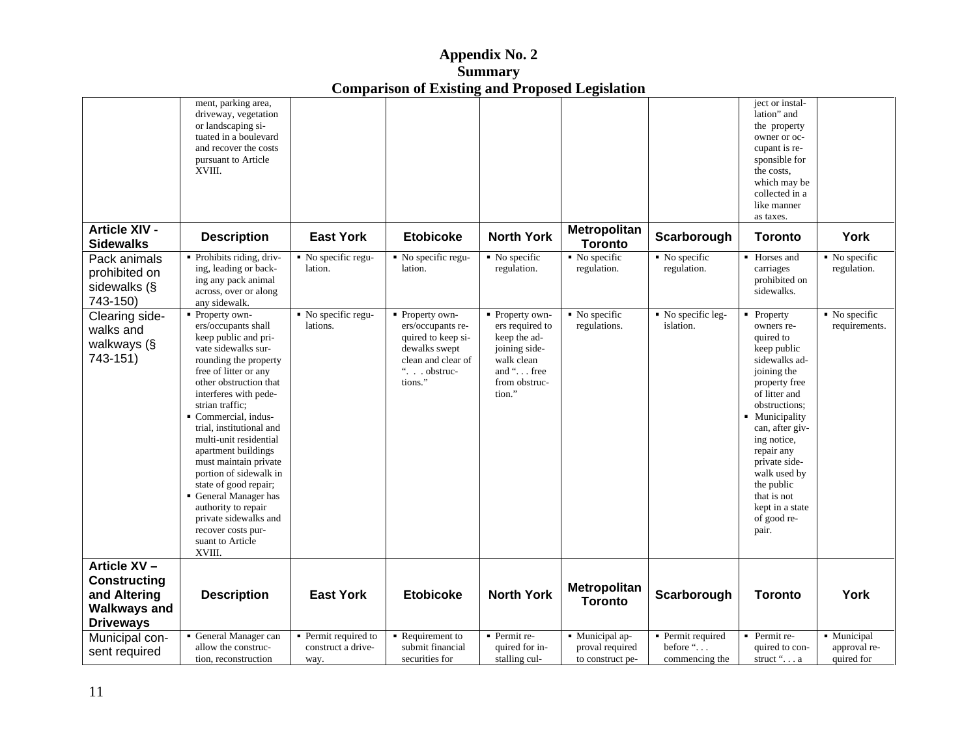| $\Delta$ ppendix No. 2                                 |  |
|--------------------------------------------------------|--|
| Summary                                                |  |
| <b>Comparison of Existing and Proposed Legislation</b> |  |

|                                          | ment, parking area,                                              |                    |                    |                            |                                |                   | ject or instal-           |                            |
|------------------------------------------|------------------------------------------------------------------|--------------------|--------------------|----------------------------|--------------------------------|-------------------|---------------------------|----------------------------|
|                                          | driveway, vegetation                                             |                    |                    |                            |                                |                   | lation" and               |                            |
|                                          | or landscaping si-                                               |                    |                    |                            |                                |                   | the property              |                            |
|                                          | tuated in a boulevard                                            |                    |                    |                            |                                |                   | owner or oc-              |                            |
|                                          | and recover the costs                                            |                    |                    |                            |                                |                   | cupant is re-             |                            |
|                                          | pursuant to Article                                              |                    |                    |                            |                                |                   | sponsible for             |                            |
|                                          | XVIII.                                                           |                    |                    |                            |                                |                   | the costs,                |                            |
|                                          |                                                                  |                    |                    |                            |                                |                   | which may be              |                            |
|                                          |                                                                  |                    |                    |                            |                                |                   | collected in a            |                            |
|                                          |                                                                  |                    |                    |                            |                                |                   | like manner               |                            |
|                                          |                                                                  |                    |                    |                            |                                |                   | as taxes.                 |                            |
| <b>Article XIV -</b><br><b>Sidewalks</b> | <b>Description</b>                                               | <b>East York</b>   | <b>Etobicoke</b>   | <b>North York</b>          | Metropolitan<br><b>Toronto</b> | Scarborough       | <b>Toronto</b>            | York                       |
| Pack animals                             | Prohibits riding, driv-                                          | No specific regu-  | No specific regu-  | $\blacksquare$ No specific | $\blacksquare$ No specific     | • No specific     | • Horses and              | $\blacksquare$ No specific |
| prohibited on                            | ing, leading or back-                                            | lation.            | lation.            | regulation.                | regulation.                    | regulation.       | carriages                 | regulation.                |
|                                          | ing any pack animal                                              |                    |                    |                            |                                |                   | prohibited on             |                            |
| sidewalks (§                             | across, over or along                                            |                    |                    |                            |                                |                   | sidewalks.                |                            |
| 743-150)                                 | any sidewalk.                                                    |                    |                    |                            |                                |                   |                           |                            |
| Clearing side-                           | ■ Property own-                                                  | No specific regu-  | Property own-      | • Property own-            | • No specific                  | No specific leg-  | • Property                | $\blacksquare$ No specific |
| walks and                                | ers/occupants shall                                              | lations.           | ers/occupants re-  | ers required to            | regulations.                   | islation.         | owners re-                | requirements.              |
| walkways (§                              | keep public and pri-                                             |                    | quired to keep si- | keep the ad-               |                                |                   | quired to                 |                            |
|                                          | vate sidewalks sur-                                              |                    | dewalks swept      | joining side-              |                                |                   | keep public               |                            |
| 743-151)                                 | rounding the property                                            |                    | clean and clear of | walk clean                 |                                |                   | sidewalks ad-             |                            |
|                                          | free of litter or any                                            |                    | $\ldots$ obstruc-  | and " free                 |                                |                   | joining the               |                            |
|                                          | other obstruction that                                           |                    | tions."            | from obstruc-              |                                |                   | property free             |                            |
|                                          | interferes with pede-                                            |                    |                    | tion."                     |                                |                   | of litter and             |                            |
|                                          | strian traffic;                                                  |                    |                    |                            |                                |                   | obstructions;             |                            |
|                                          | Commercial, indus-                                               |                    |                    |                            |                                |                   | Municipality              |                            |
|                                          | trial, institutional and                                         |                    |                    |                            |                                |                   | can, after giv-           |                            |
|                                          | multi-unit residential                                           |                    |                    |                            |                                |                   | ing notice,               |                            |
|                                          | apartment buildings                                              |                    |                    |                            |                                |                   | repair any                |                            |
|                                          | must maintain private                                            |                    |                    |                            |                                |                   | private side-             |                            |
|                                          | portion of sidewalk in                                           |                    |                    |                            |                                |                   | walk used by              |                            |
|                                          | state of good repair;                                            |                    |                    |                            |                                |                   | the public                |                            |
|                                          | General Manager has                                              |                    |                    |                            |                                |                   | that is not               |                            |
|                                          | authority to repair                                              |                    |                    |                            |                                |                   | kept in a state           |                            |
|                                          | private sidewalks and                                            |                    |                    |                            |                                |                   | of good re-               |                            |
|                                          | recover costs pur-                                               |                    |                    |                            |                                |                   | pair.                     |                            |
|                                          | suant to Article                                                 |                    |                    |                            |                                |                   |                           |                            |
|                                          | XVIII.                                                           |                    |                    |                            |                                |                   |                           |                            |
|                                          |                                                                  |                    |                    |                            |                                |                   |                           |                            |
| Article XV-                              |                                                                  |                    |                    |                            |                                |                   |                           |                            |
| <b>Constructing</b>                      |                                                                  |                    |                    |                            | Metropolitan                   |                   |                           |                            |
| and Altering                             | <b>Description</b>                                               | <b>East York</b>   | <b>Etobicoke</b>   | <b>North York</b>          |                                | Scarborough       | <b>Toronto</b>            | York                       |
| <b>Walkways and</b>                      |                                                                  |                    |                    |                            | <b>Toronto</b>                 |                   |                           |                            |
|                                          |                                                                  |                    |                    |                            |                                |                   |                           |                            |
| <b>Driveways</b>                         |                                                                  |                    |                    |                            |                                |                   |                           |                            |
| Municipal con-                           | • General Manager can Permit required to <b>F</b> Requirement to |                    |                    | • Permit re-               | • Municipal ap-                | • Permit required | $\blacksquare$ Permit re- | • Municipal                |
| sent required                            | allow the construc-                                              | construct a drive- | submit financial   | quired for in-             | proval required                | before "          | quired to con-            | approval re-               |
|                                          | tion, reconstruction                                             | way.               | securities for     | stalling cul-              | to construct pe-               | commencing the    | struct ". a               | quired for                 |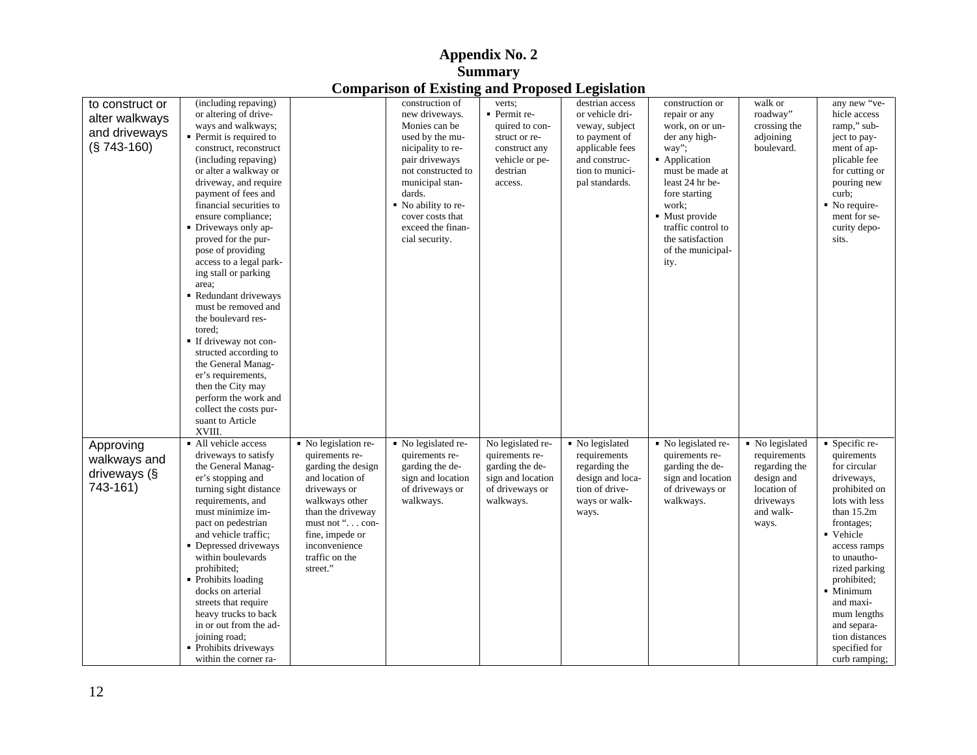|                 |                                              |                                     | Comparison or Existing and Froposcu Ecgistation |                   |                  |                                    |                 |                                |
|-----------------|----------------------------------------------|-------------------------------------|-------------------------------------------------|-------------------|------------------|------------------------------------|-----------------|--------------------------------|
| to construct or | (including repaving)                         |                                     | construction of                                 | verts;            | destrian access  | construction or                    | walk or         | any new "ve-                   |
| alter walkways  | or altering of drive-                        |                                     | new driveways.                                  | Permit re-        | or vehicle dri-  | repair or any                      | roadway"        | hicle access                   |
| and driveways   | ways and walkways;                           |                                     | Monies can be                                   | quired to con-    | veway, subject   | work, on or un-                    | crossing the    | ramp," sub-                    |
| $(S$ 743-160)   | Permit is required to                        |                                     | used by the mu-                                 | struct or re-     | to payment of    | der any high-                      | adjoining       | ject to pay-<br>ment of ap-    |
|                 | construct, reconstruct                       |                                     | nicipality to re-                               | construct any     | applicable fees  | way";                              | boulevard.      | plicable fee                   |
|                 | (including repaving)                         |                                     | pair driveways                                  | vehicle or pe-    | and construc-    | • Application                      |                 | for cutting or                 |
|                 | or alter a walkway or                        |                                     | not constructed to                              | destrian          | tion to munici-  | must be made at<br>least 24 hr be- |                 | pouring new                    |
|                 | driveway, and require<br>payment of fees and |                                     | municipal stan-<br>dards.                       | access.           | pal standards.   | fore starting                      |                 |                                |
|                 | financial securities to                      |                                     | No ability to re-                               |                   |                  | work;                              |                 |                                |
|                 | ensure compliance;                           |                                     | cover costs that                                |                   |                  | • Must provide                     |                 |                                |
|                 | Driveways only ap-                           |                                     | exceed the finan-                               |                   |                  | traffic control to                 |                 |                                |
|                 | proved for the pur-                          |                                     | cial security.                                  |                   |                  | the satisfaction                   |                 |                                |
|                 | pose of providing                            |                                     |                                                 |                   |                  | of the municipal-                  |                 |                                |
|                 | access to a legal park-                      |                                     |                                                 |                   |                  | ity.                               |                 |                                |
|                 | ing stall or parking                         |                                     |                                                 |                   |                  |                                    |                 |                                |
|                 | area;                                        |                                     |                                                 |                   |                  |                                    |                 |                                |
|                 | Redundant driveways                          |                                     |                                                 |                   |                  |                                    |                 |                                |
|                 | must be removed and                          |                                     |                                                 |                   |                  |                                    |                 |                                |
|                 | the boulevard res-                           |                                     |                                                 |                   |                  |                                    |                 |                                |
|                 | tored;                                       |                                     |                                                 |                   |                  |                                    |                 |                                |
|                 | - If driveway not con-                       |                                     |                                                 |                   |                  |                                    |                 |                                |
|                 | structed according to                        |                                     |                                                 |                   |                  |                                    |                 |                                |
|                 | the General Manag-                           |                                     |                                                 |                   |                  |                                    |                 |                                |
|                 | er's requirements,                           |                                     |                                                 |                   |                  |                                    |                 |                                |
|                 | then the City may                            |                                     |                                                 |                   |                  |                                    |                 |                                |
|                 | perform the work and                         |                                     |                                                 |                   |                  |                                    |                 |                                |
|                 | collect the costs pur-                       |                                     |                                                 |                   |                  |                                    |                 |                                |
|                 | suant to Article                             |                                     |                                                 |                   |                  |                                    |                 |                                |
|                 | XVIII.                                       |                                     |                                                 |                   |                  |                                    |                 |                                |
| Approving       | All vehicle access                           | No legislation re-                  | No legislated re-                               | No legislated re- | • No legislated  | No legislated re-                  | • No legislated | $\blacksquare$ Specific re-    |
| walkways and    | driveways to satisfy                         | quirements re-                      | quirements re-                                  | quirements re-    | requirements     | quirements re-                     | requirements    |                                |
| driveways (§    | the General Manag-                           | garding the design                  | garding the de-                                 | garding the de-   | regarding the    | garding the de-                    | regarding the   |                                |
| 743-161)        | er's stopping and                            | and location of                     | sign and location                               | sign and location | design and loca- | sign and location                  | design and      |                                |
|                 | turning sight distance                       | driveways or                        | of driveways or                                 | of driveways or   | tion of drive-   | of driveways or                    | location of     |                                |
|                 | requirements, and                            | walkways other<br>than the driveway | walkways.                                       | walkways.         | ways or walk-    | walkways.                          | driveways       |                                |
|                 | must minimize im-                            |                                     |                                                 |                   | ways.            |                                    | and walk-       |                                |
|                 | pact on pedestrian<br>and vehicle traffic;   | must not " con-<br>fine, impede or  |                                                 |                   |                  |                                    | ways.           |                                |
|                 | • Depressed driveways                        | inconvenience                       |                                                 |                   |                  |                                    |                 | Vehicle<br>access ramps        |
|                 | within boulevards                            | traffic on the                      |                                                 |                   |                  |                                    |                 | to unautho-                    |
|                 | prohibited;                                  | street."                            |                                                 |                   |                  |                                    |                 |                                |
|                 | • Prohibits loading                          |                                     |                                                 |                   |                  |                                    |                 |                                |
|                 | docks on arterial                            |                                     |                                                 |                   |                  |                                    |                 |                                |
|                 | streets that require                         |                                     |                                                 |                   |                  |                                    |                 |                                |
|                 | heavy trucks to back                         |                                     |                                                 |                   |                  |                                    |                 |                                |
|                 | in or out from the ad-                       |                                     |                                                 |                   |                  |                                    |                 |                                |
|                 | joining road;                                |                                     |                                                 |                   |                  |                                    |                 |                                |
|                 | • Prohibits driveways                        |                                     |                                                 |                   |                  |                                    |                 | tion distances                 |
|                 | within the corner ra-                        |                                     |                                                 |                   |                  |                                    |                 | specified for<br>curb ramping: |
|                 |                                              |                                     |                                                 |                   |                  |                                    |                 |                                |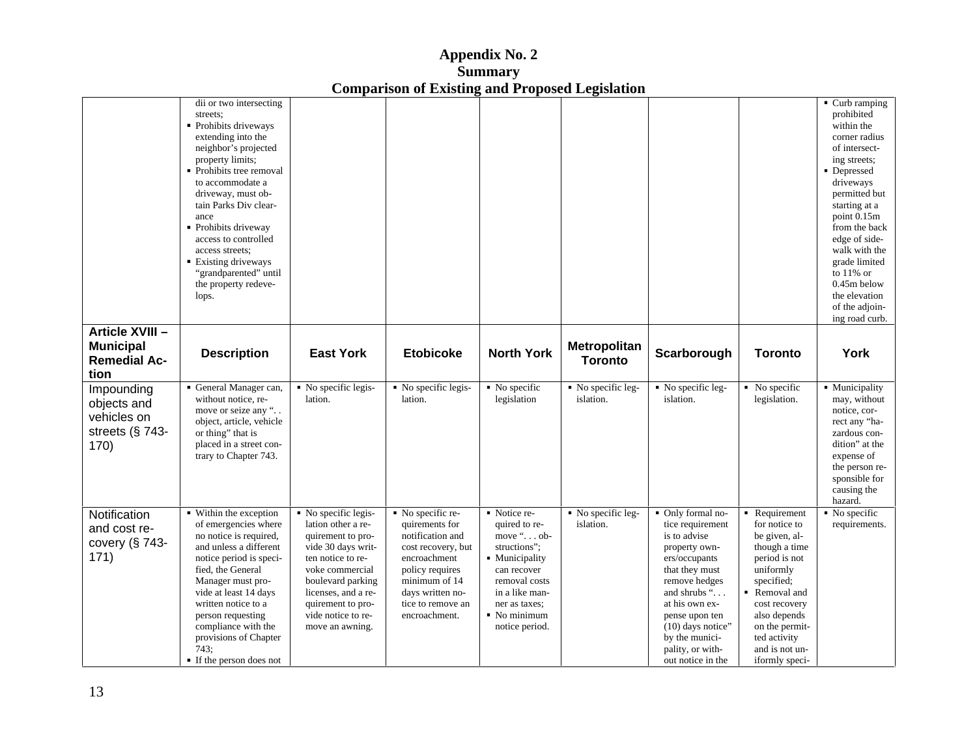| Appendix No. 2                                         |  |
|--------------------------------------------------------|--|
| Summary                                                |  |
| <b>Comparison of Existing and Proposed Legislation</b> |  |

|                     | dii or two intersecting                     |                     |                                   |                              |                                 |                                                                           |                | $\blacksquare$ Curb ramping |
|---------------------|---------------------------------------------|---------------------|-----------------------------------|------------------------------|---------------------------------|---------------------------------------------------------------------------|----------------|-----------------------------|
|                     | streets:                                    |                     |                                   |                              |                                 |                                                                           |                | prohibited                  |
|                     | • Prohibits driveways                       |                     |                                   |                              |                                 |                                                                           |                | within the                  |
|                     | extending into the                          |                     |                                   |                              |                                 |                                                                           |                | corner radius               |
|                     | neighbor's projected                        |                     |                                   |                              |                                 |                                                                           |                | of intersect-               |
|                     | property limits;                            |                     |                                   |                              |                                 |                                                                           |                | ing streets;                |
|                     | • Prohibits tree removal                    |                     |                                   |                              |                                 |                                                                           |                | • Depressed                 |
|                     | to accommodate a                            |                     |                                   |                              |                                 |                                                                           |                | driveways                   |
|                     | driveway, must ob-                          |                     |                                   |                              |                                 |                                                                           |                | permitted but               |
|                     | tain Parks Div clear-                       |                     |                                   |                              |                                 |                                                                           |                | starting at a               |
|                     | ance                                        |                     |                                   |                              |                                 |                                                                           |                | point 0.15m                 |
|                     | • Prohibits driveway                        |                     |                                   |                              |                                 |                                                                           |                | from the back               |
|                     | access to controlled                        |                     |                                   |                              |                                 |                                                                           |                | edge of side-               |
|                     | access streets;                             |                     |                                   |                              |                                 |                                                                           |                | walk with the               |
|                     | <b>Existing driveways</b>                   |                     |                                   |                              |                                 |                                                                           |                | grade limited               |
|                     | "grandparented" until                       |                     |                                   |                              |                                 |                                                                           |                | to $11\%$ or                |
|                     | the property redeve-                        |                     |                                   |                              |                                 |                                                                           |                | $0.45m$ below               |
|                     | lops.                                       |                     |                                   |                              |                                 |                                                                           |                | the elevation               |
|                     |                                             |                     |                                   |                              |                                 |                                                                           |                | of the adjoin-              |
|                     |                                             |                     |                                   |                              |                                 |                                                                           |                | ing road curb.              |
| Article XVIII -     |                                             |                     |                                   |                              |                                 |                                                                           |                |                             |
| <b>Municipal</b>    |                                             |                     |                                   |                              | Metropolitan                    |                                                                           |                |                             |
|                     | <b>Description</b>                          | <b>East York</b>    | <b>Etobicoke</b>                  | <b>North York</b>            |                                 | Scarborough                                                               | <b>Toronto</b> | York                        |
| <b>Remedial Ac-</b> |                                             |                     |                                   |                              | <b>Toronto</b>                  |                                                                           |                |                             |
| tion                |                                             |                     |                                   |                              |                                 |                                                                           |                |                             |
| Impounding          | • General Manager can, • No specific legis- |                     | $\blacksquare$ No specific legis- | $\blacksquare$ No specific   | $\blacksquare$ No specific leg- | $\blacksquare$ No specific leg- $\blacksquare$ $\blacksquare$ No specific |                | • Municipality              |
|                     | without notice, re-                         | lation.             | lation.                           | legislation                  | islation.                       | islation.                                                                 | legislation.   | may, without                |
| objects and         | move or seize any '                         |                     |                                   |                              |                                 |                                                                           |                | notice, cor-                |
| vehicles on         | object, article, vehicle                    |                     |                                   |                              |                                 |                                                                           |                | rect any "ha-               |
| streets (§ 743-     | or thing" that is                           |                     |                                   |                              |                                 |                                                                           |                | zardous con-                |
| 170)                | placed in a street con-                     |                     |                                   |                              |                                 |                                                                           |                | dition" at the              |
|                     | trary to Chapter 743.                       |                     |                                   |                              |                                 |                                                                           |                | expense of                  |
|                     |                                             |                     |                                   |                              |                                 |                                                                           |                | the person re-              |
|                     |                                             |                     |                                   |                              |                                 |                                                                           |                | sponsible for               |
|                     |                                             |                     |                                   |                              |                                 |                                                                           |                | causing the                 |
|                     |                                             |                     |                                   |                              |                                 |                                                                           |                | hazard.                     |
|                     | ■ Within the exception                      | No specific legis-  | No specific re-                   | Notice re-                   | No specific leg-                | • Only formal no-                                                         | Requirement    | $\blacksquare$ No specific  |
| Notification        |                                             | lation other a re-  |                                   |                              | islation.                       |                                                                           |                |                             |
| and cost re-        | of emergencies where                        |                     | quirements for                    | quired to re-                |                                 | tice requirement                                                          | for notice to  | requirements.               |
| covery (§ 743-      | no notice is required,                      | quirement to pro-   | notification and                  | move $\cdot \cdot \cdot$ ob- |                                 | is to advise                                                              | be given, al-  |                             |
| 171)                | and unless a different                      | vide 30 days writ-  | cost recovery, bu                 | structions";                 |                                 | property own-                                                             | though a time  |                             |
|                     | notice period is speci-                     | ten notice to re-   | encroachment                      | Municipality                 |                                 | ers/occupants                                                             | period is not  |                             |
|                     | fied, the General                           | voke commercial     | policy requires                   | can recover                  |                                 | that they must                                                            | uniformly      |                             |
|                     | Manager must pro-                           | boulevard parking   | minimum of 14                     | removal costs                |                                 | remove hedges                                                             | specified;     |                             |
|                     | vide at least 14 days                       | licenses, and a re- | days written no-                  | in a like man-               |                                 | and shrubs ".                                                             | Removal and    |                             |
|                     | written notice to a                         | quirement to pro-   | tice to remove an                 | ner as taxes;                |                                 | at his own ex-                                                            | cost recovery  |                             |
|                     | person requesting                           | vide notice to re-  | encroachment.                     | No minimum                   |                                 | pense upon ten                                                            | also depends   |                             |
|                     | compliance with the                         | move an awning.     |                                   | notice period.               |                                 | (10) days notice'                                                         | on the permit- |                             |
|                     | provisions of Chapter                       |                     |                                   |                              |                                 | by the munici-                                                            | ted activity   |                             |
|                     |                                             |                     |                                   |                              |                                 |                                                                           |                |                             |
|                     | 743:                                        |                     |                                   |                              |                                 | pality, or with-                                                          | and is not un- |                             |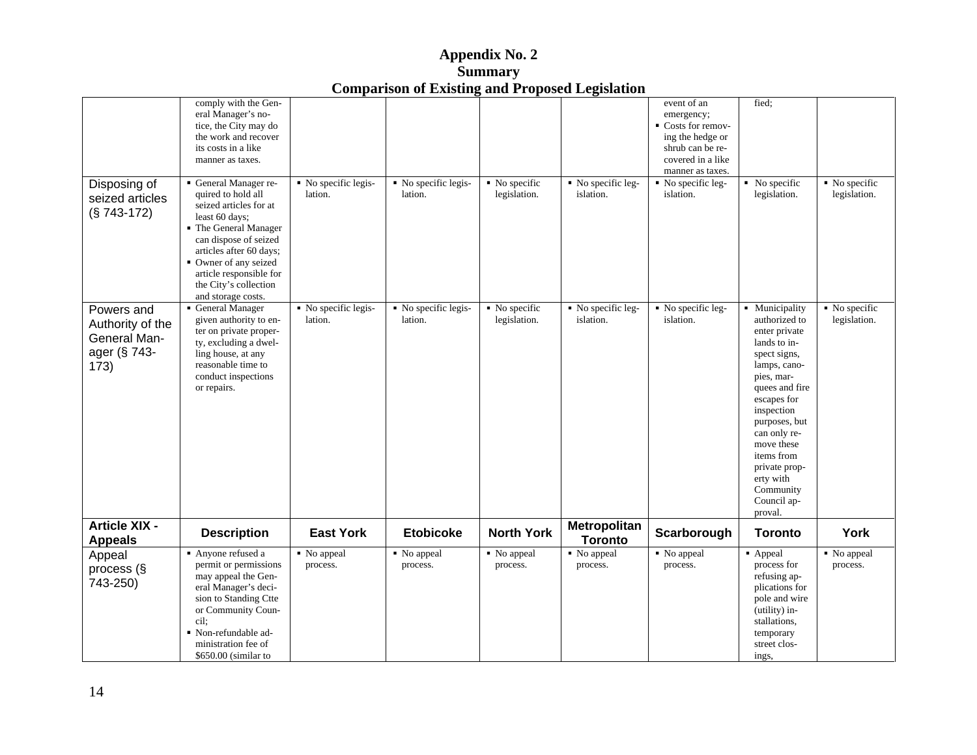| $\sim$ $\sim$ $\sim$<br>Appendix No. 2          |  |  |  |
|-------------------------------------------------|--|--|--|
| <b>Summary</b>                                  |  |  |  |
| Comparison of Existing and Proposed Legislation |  |  |  |

|                                        |                                                  |                                | <b>Comparison of Existing and Proposed Legislation</b> |                            |                                |                                               |                |                                            |
|----------------------------------------|--------------------------------------------------|--------------------------------|--------------------------------------------------------|----------------------------|--------------------------------|-----------------------------------------------|----------------|--------------------------------------------|
|                                        | comply with the Gen-                             |                                |                                                        |                            |                                | event of an                                   | fied;          |                                            |
|                                        | eral Manager's no-                               |                                |                                                        |                            |                                | emergency;                                    |                |                                            |
|                                        | tice, the City may do                            |                                |                                                        |                            |                                | Costs for remov-                              |                |                                            |
|                                        | the work and recover                             |                                |                                                        |                            |                                | ing the hedge or                              |                |                                            |
|                                        | its costs in a like                              |                                |                                                        |                            |                                | shrub can be re-                              |                |                                            |
|                                        | manner as taxes.                                 |                                |                                                        |                            |                                | covered in a like                             |                |                                            |
|                                        |                                                  |                                |                                                        |                            |                                | manner as taxes.                              |                |                                            |
| Disposing of                           | General Manager re-                              | No specific legis-             | No specific legis-                                     | $\blacksquare$ No specific |                                | No specific leg- No specific leg- No specific |                | $\blacksquare$ No specific<br>legislation. |
| seized articles                        | quired to hold all                               | lation.                        | lation.                                                | legislation.               | islation.                      | islation.                                     | legislation.   |                                            |
| (§ 743-172)                            | seized articles for at                           |                                |                                                        |                            |                                |                                               |                |                                            |
|                                        | least 60 days;                                   |                                |                                                        |                            |                                |                                               |                |                                            |
|                                        | • The General Manager                            |                                |                                                        |                            |                                |                                               |                |                                            |
|                                        | can dispose of seized                            |                                |                                                        |                            |                                |                                               |                |                                            |
|                                        | articles after 60 days;                          |                                |                                                        |                            |                                |                                               |                |                                            |
|                                        | • Owner of any seized<br>article responsible for |                                |                                                        |                            |                                |                                               |                |                                            |
|                                        | the City's collection                            |                                |                                                        |                            |                                |                                               |                |                                            |
|                                        | and storage costs.                               |                                |                                                        |                            |                                |                                               |                |                                            |
| Powers and                             | General Manager                                  | No specific legis-             | No specific legis-                                     | No specific                |                                | No specific leg- No specific leg-             | • Municipality | $\blacksquare$ No specific                 |
|                                        | given authority to en-                           | lation.                        | lation.                                                | legislation.               | islation.                      | islation.                                     | authorized to  | legislation.                               |
| Authority of the                       | ter on private proper-                           |                                |                                                        |                            |                                |                                               | enter private  |                                            |
| General Man-                           | ty, excluding a dwel-                            |                                |                                                        |                            |                                |                                               | lands to in-   |                                            |
| ager (§ 743-                           | ling house, at any                               |                                |                                                        |                            |                                |                                               | spect signs,   |                                            |
| 173)                                   | reasonable time to                               |                                |                                                        |                            |                                |                                               | lamps, cano-   |                                            |
|                                        | conduct inspections                              |                                |                                                        |                            |                                |                                               | pies, mar-     |                                            |
|                                        | or repairs.                                      |                                |                                                        |                            |                                |                                               | quees and fire |                                            |
|                                        |                                                  |                                |                                                        |                            |                                |                                               | escapes for    |                                            |
|                                        |                                                  |                                |                                                        |                            |                                |                                               | inspection     |                                            |
|                                        |                                                  |                                |                                                        |                            |                                |                                               | purposes, but  |                                            |
|                                        |                                                  |                                |                                                        |                            |                                |                                               | can only re-   |                                            |
|                                        |                                                  |                                |                                                        |                            |                                |                                               | move these     |                                            |
|                                        |                                                  |                                |                                                        |                            |                                |                                               | items from     |                                            |
|                                        |                                                  |                                |                                                        |                            |                                |                                               | private prop-  |                                            |
|                                        |                                                  |                                |                                                        |                            |                                |                                               | erty with      |                                            |
|                                        |                                                  |                                |                                                        |                            |                                |                                               | Community      |                                            |
|                                        |                                                  |                                |                                                        |                            |                                |                                               | Council ap-    |                                            |
|                                        |                                                  |                                |                                                        |                            |                                |                                               | proval.        |                                            |
| <b>Article XIX -</b><br><b>Appeals</b> | <b>Description</b>                               | <b>East York</b>               | <b>Etobicoke</b>                                       | <b>North York</b>          | Metropolitan<br><b>Toronto</b> | Scarborough                                   | <b>Toronto</b> | York                                       |
| Appeal                                 | Anyone refused a                                 | $\sqrt{\phantom{a}}$ No appeal | No appeal                                              | No appeal                  | No appeal                      | No appeal                                     | Appeal         | No appeal                                  |
| process (§                             | permit or permissions                            | process.                       | process.                                               | process.                   | process.                       | process.                                      | process for    | process.                                   |
|                                        | may appeal the Gen-                              |                                |                                                        |                            |                                |                                               | refusing ap-   |                                            |
| 743-250)                               | eral Manager's deci-                             |                                |                                                        |                            |                                |                                               | plications for |                                            |
|                                        | sion to Standing Ctte                            |                                |                                                        |                            |                                |                                               | pole and wire  |                                            |
|                                        | or Community Coun-                               |                                |                                                        |                            |                                |                                               | (utility) in-  |                                            |
|                                        | cil;                                             |                                |                                                        |                            |                                |                                               | stallations,   |                                            |
|                                        | Non-refundable ad-                               |                                |                                                        |                            |                                |                                               | temporary      |                                            |
|                                        | ministration fee of                              |                                |                                                        |                            |                                |                                               | street clos-   |                                            |
|                                        | \$650.00 (similar to                             |                                |                                                        |                            |                                |                                               | ings,          |                                            |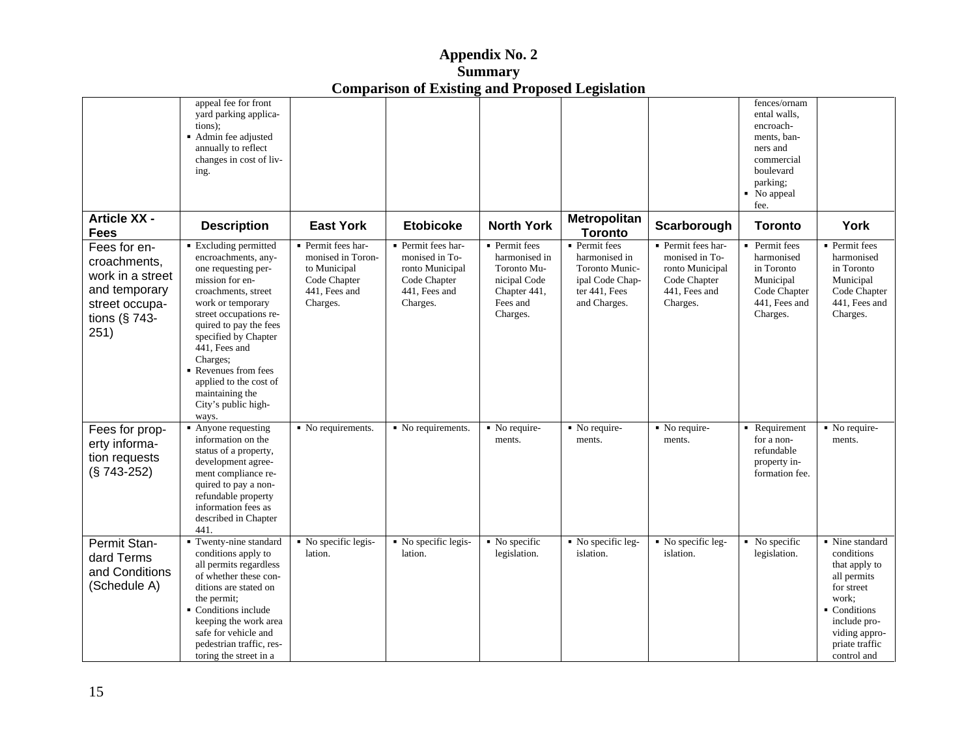| <b>Appendix No. <math>\angle</math></b>                                                          |  |
|--------------------------------------------------------------------------------------------------|--|
| <b>Summary</b>                                                                                   |  |
| $\mathbf{r}$<br>$\mathbf{v}$<br>$\sim$<br><b>Comparison of Existing and Proposed Legislation</b> |  |

| appeal fee for front<br>fences/ornam<br>yard parking applica-<br>ental walls,<br>tions);<br>encroach-<br>• Admin fee adjusted<br>ments, ban-<br>annually to reflect<br>ners and<br>changes in cost of liv-<br>commercial<br>boulevard<br>ing<br>parking;<br>No appeal<br><b>Article XX -</b><br>Metropolitan<br><b>East York</b><br><b>North York</b><br>York<br><b>Description</b><br><b>Etobicoke</b><br>Scarborough<br><b>Toronto</b><br><b>Toronto</b><br>Fees<br>• Permit fees<br>Fees for en-<br>■ Excluding permitted<br>• Permit fees har-<br>Permit fees har-<br>• Permit fees har-<br>• Permit fees<br>• Permit fees<br>• Permit fees<br>monised in Toron-<br>monised in To-<br>monised in To-<br>harmonised in<br>harmonised in<br>harmonised<br>harmonised<br>encroachments, any-<br>croachments,<br>to Municipal<br>Toronto Mu-<br>in Toronto<br>ronto Municipal<br>Toronto Munic-<br>ronto Municipal<br>in Toronto<br>one requesting per-<br>work in a street<br>ipal Code Chap-<br>Municipal<br>Municipal<br>Code Chapter<br>Code Chapter<br>mission for en-<br>nicipal Code<br>Code Chapter<br>and temporary<br>441, Fees and<br>Chapter 441,<br>ter 441, Fees<br>Code Chapter<br>Code Chapter<br>441, Fees and<br>croachments, street<br>441, Fees and<br>441, Fees and<br>and Charges.<br>441, Fees and<br>Charges.<br>Charges.<br>street occupa<br>work or temporary<br>Fees and<br>Charges.<br>Charges.<br>Charges.<br>street occupations re-<br>Charges.<br>tions ( $§$ 743-<br>quired to pay the fees<br>251)<br>specified by Chapter<br>441, Fees and<br>Charges;<br>Revenues from fees<br>applied to the cost of<br>maintaining the<br>City's public high-<br>ways.<br>Fees for prop-<br>$\blacksquare$ No require-<br>Requirement No require-<br>No requirements. No requirements. No require-<br>$\blacksquare$ No require-<br>• Anyone requesting<br>ments.<br>ments.<br>information on the<br>ments.<br>ments.<br>for a non-<br>erty informa<br>refundable<br>status of a property,<br>tion requests<br>property in-<br>development agree-<br>$(S 743-252)$<br>ment compliance re-<br>formation fee<br>quired to pay a non-<br>refundable property<br>information fees as<br>described in Chapter<br>441.<br>Twenty-nine standard   No specific legis-<br>Permit Stan-<br>$\blacksquare$ No specific legis- $\blacksquare$ No specific<br>No specific leg- No specific leg- No specific<br>Nine standard<br>conditions<br>conditions apply to<br>lation.<br>legislation.<br>islation.<br>islation.<br>lation.<br>legislation.<br>dard Terms<br>all permits regardless<br>that apply to<br>and Conditions<br>of whether these con-<br>all permits<br>(Schedule A)<br>ditions are stated on<br>for street<br>work;<br>the permit;<br>Conditions<br>Conditions include<br>include pro-<br>keeping the work area<br>safe for vehicle and<br>viding appro-<br>pedestrian traffic, res-<br>priate traffic<br>control and<br>toring the street in a |  | Comparison of Embers and Proposed Explanation |  |  |  |
|--------------------------------------------------------------------------------------------------------------------------------------------------------------------------------------------------------------------------------------------------------------------------------------------------------------------------------------------------------------------------------------------------------------------------------------------------------------------------------------------------------------------------------------------------------------------------------------------------------------------------------------------------------------------------------------------------------------------------------------------------------------------------------------------------------------------------------------------------------------------------------------------------------------------------------------------------------------------------------------------------------------------------------------------------------------------------------------------------------------------------------------------------------------------------------------------------------------------------------------------------------------------------------------------------------------------------------------------------------------------------------------------------------------------------------------------------------------------------------------------------------------------------------------------------------------------------------------------------------------------------------------------------------------------------------------------------------------------------------------------------------------------------------------------------------------------------------------------------------------------------------------------------------------------------------------------------------------------------------------------------------------------------------------------------------------------------------------------------------------------------------------------------------------------------------------------------------------------------------------------------------------------------------------------------------------------------------------------------------------------------------------------------------------------------------------------------------------------------------------------------------------------------------------------------------------------------------------------------------------------------------------------------------------------------------------------------------------------------------------------------------------------------------------------------------------------------------------------------------------------------------------------------------------------------------------------------------------------------|--|-----------------------------------------------|--|--|--|
|                                                                                                                                                                                                                                                                                                                                                                                                                                                                                                                                                                                                                                                                                                                                                                                                                                                                                                                                                                                                                                                                                                                                                                                                                                                                                                                                                                                                                                                                                                                                                                                                                                                                                                                                                                                                                                                                                                                                                                                                                                                                                                                                                                                                                                                                                                                                                                                                                                                                                                                                                                                                                                                                                                                                                                                                                                                                                                                                                                          |  |                                               |  |  |  |
|                                                                                                                                                                                                                                                                                                                                                                                                                                                                                                                                                                                                                                                                                                                                                                                                                                                                                                                                                                                                                                                                                                                                                                                                                                                                                                                                                                                                                                                                                                                                                                                                                                                                                                                                                                                                                                                                                                                                                                                                                                                                                                                                                                                                                                                                                                                                                                                                                                                                                                                                                                                                                                                                                                                                                                                                                                                                                                                                                                          |  |                                               |  |  |  |
|                                                                                                                                                                                                                                                                                                                                                                                                                                                                                                                                                                                                                                                                                                                                                                                                                                                                                                                                                                                                                                                                                                                                                                                                                                                                                                                                                                                                                                                                                                                                                                                                                                                                                                                                                                                                                                                                                                                                                                                                                                                                                                                                                                                                                                                                                                                                                                                                                                                                                                                                                                                                                                                                                                                                                                                                                                                                                                                                                                          |  |                                               |  |  |  |
|                                                                                                                                                                                                                                                                                                                                                                                                                                                                                                                                                                                                                                                                                                                                                                                                                                                                                                                                                                                                                                                                                                                                                                                                                                                                                                                                                                                                                                                                                                                                                                                                                                                                                                                                                                                                                                                                                                                                                                                                                                                                                                                                                                                                                                                                                                                                                                                                                                                                                                                                                                                                                                                                                                                                                                                                                                                                                                                                                                          |  |                                               |  |  |  |
|                                                                                                                                                                                                                                                                                                                                                                                                                                                                                                                                                                                                                                                                                                                                                                                                                                                                                                                                                                                                                                                                                                                                                                                                                                                                                                                                                                                                                                                                                                                                                                                                                                                                                                                                                                                                                                                                                                                                                                                                                                                                                                                                                                                                                                                                                                                                                                                                                                                                                                                                                                                                                                                                                                                                                                                                                                                                                                                                                                          |  |                                               |  |  |  |
|                                                                                                                                                                                                                                                                                                                                                                                                                                                                                                                                                                                                                                                                                                                                                                                                                                                                                                                                                                                                                                                                                                                                                                                                                                                                                                                                                                                                                                                                                                                                                                                                                                                                                                                                                                                                                                                                                                                                                                                                                                                                                                                                                                                                                                                                                                                                                                                                                                                                                                                                                                                                                                                                                                                                                                                                                                                                                                                                                                          |  |                                               |  |  |  |
|                                                                                                                                                                                                                                                                                                                                                                                                                                                                                                                                                                                                                                                                                                                                                                                                                                                                                                                                                                                                                                                                                                                                                                                                                                                                                                                                                                                                                                                                                                                                                                                                                                                                                                                                                                                                                                                                                                                                                                                                                                                                                                                                                                                                                                                                                                                                                                                                                                                                                                                                                                                                                                                                                                                                                                                                                                                                                                                                                                          |  |                                               |  |  |  |
|                                                                                                                                                                                                                                                                                                                                                                                                                                                                                                                                                                                                                                                                                                                                                                                                                                                                                                                                                                                                                                                                                                                                                                                                                                                                                                                                                                                                                                                                                                                                                                                                                                                                                                                                                                                                                                                                                                                                                                                                                                                                                                                                                                                                                                                                                                                                                                                                                                                                                                                                                                                                                                                                                                                                                                                                                                                                                                                                                                          |  |                                               |  |  |  |
|                                                                                                                                                                                                                                                                                                                                                                                                                                                                                                                                                                                                                                                                                                                                                                                                                                                                                                                                                                                                                                                                                                                                                                                                                                                                                                                                                                                                                                                                                                                                                                                                                                                                                                                                                                                                                                                                                                                                                                                                                                                                                                                                                                                                                                                                                                                                                                                                                                                                                                                                                                                                                                                                                                                                                                                                                                                                                                                                                                          |  |                                               |  |  |  |
|                                                                                                                                                                                                                                                                                                                                                                                                                                                                                                                                                                                                                                                                                                                                                                                                                                                                                                                                                                                                                                                                                                                                                                                                                                                                                                                                                                                                                                                                                                                                                                                                                                                                                                                                                                                                                                                                                                                                                                                                                                                                                                                                                                                                                                                                                                                                                                                                                                                                                                                                                                                                                                                                                                                                                                                                                                                                                                                                                                          |  |                                               |  |  |  |
|                                                                                                                                                                                                                                                                                                                                                                                                                                                                                                                                                                                                                                                                                                                                                                                                                                                                                                                                                                                                                                                                                                                                                                                                                                                                                                                                                                                                                                                                                                                                                                                                                                                                                                                                                                                                                                                                                                                                                                                                                                                                                                                                                                                                                                                                                                                                                                                                                                                                                                                                                                                                                                                                                                                                                                                                                                                                                                                                                                          |  |                                               |  |  |  |
|                                                                                                                                                                                                                                                                                                                                                                                                                                                                                                                                                                                                                                                                                                                                                                                                                                                                                                                                                                                                                                                                                                                                                                                                                                                                                                                                                                                                                                                                                                                                                                                                                                                                                                                                                                                                                                                                                                                                                                                                                                                                                                                                                                                                                                                                                                                                                                                                                                                                                                                                                                                                                                                                                                                                                                                                                                                                                                                                                                          |  |                                               |  |  |  |
|                                                                                                                                                                                                                                                                                                                                                                                                                                                                                                                                                                                                                                                                                                                                                                                                                                                                                                                                                                                                                                                                                                                                                                                                                                                                                                                                                                                                                                                                                                                                                                                                                                                                                                                                                                                                                                                                                                                                                                                                                                                                                                                                                                                                                                                                                                                                                                                                                                                                                                                                                                                                                                                                                                                                                                                                                                                                                                                                                                          |  |                                               |  |  |  |
|                                                                                                                                                                                                                                                                                                                                                                                                                                                                                                                                                                                                                                                                                                                                                                                                                                                                                                                                                                                                                                                                                                                                                                                                                                                                                                                                                                                                                                                                                                                                                                                                                                                                                                                                                                                                                                                                                                                                                                                                                                                                                                                                                                                                                                                                                                                                                                                                                                                                                                                                                                                                                                                                                                                                                                                                                                                                                                                                                                          |  |                                               |  |  |  |
|                                                                                                                                                                                                                                                                                                                                                                                                                                                                                                                                                                                                                                                                                                                                                                                                                                                                                                                                                                                                                                                                                                                                                                                                                                                                                                                                                                                                                                                                                                                                                                                                                                                                                                                                                                                                                                                                                                                                                                                                                                                                                                                                                                                                                                                                                                                                                                                                                                                                                                                                                                                                                                                                                                                                                                                                                                                                                                                                                                          |  |                                               |  |  |  |
|                                                                                                                                                                                                                                                                                                                                                                                                                                                                                                                                                                                                                                                                                                                                                                                                                                                                                                                                                                                                                                                                                                                                                                                                                                                                                                                                                                                                                                                                                                                                                                                                                                                                                                                                                                                                                                                                                                                                                                                                                                                                                                                                                                                                                                                                                                                                                                                                                                                                                                                                                                                                                                                                                                                                                                                                                                                                                                                                                                          |  |                                               |  |  |  |
|                                                                                                                                                                                                                                                                                                                                                                                                                                                                                                                                                                                                                                                                                                                                                                                                                                                                                                                                                                                                                                                                                                                                                                                                                                                                                                                                                                                                                                                                                                                                                                                                                                                                                                                                                                                                                                                                                                                                                                                                                                                                                                                                                                                                                                                                                                                                                                                                                                                                                                                                                                                                                                                                                                                                                                                                                                                                                                                                                                          |  |                                               |  |  |  |
|                                                                                                                                                                                                                                                                                                                                                                                                                                                                                                                                                                                                                                                                                                                                                                                                                                                                                                                                                                                                                                                                                                                                                                                                                                                                                                                                                                                                                                                                                                                                                                                                                                                                                                                                                                                                                                                                                                                                                                                                                                                                                                                                                                                                                                                                                                                                                                                                                                                                                                                                                                                                                                                                                                                                                                                                                                                                                                                                                                          |  |                                               |  |  |  |
|                                                                                                                                                                                                                                                                                                                                                                                                                                                                                                                                                                                                                                                                                                                                                                                                                                                                                                                                                                                                                                                                                                                                                                                                                                                                                                                                                                                                                                                                                                                                                                                                                                                                                                                                                                                                                                                                                                                                                                                                                                                                                                                                                                                                                                                                                                                                                                                                                                                                                                                                                                                                                                                                                                                                                                                                                                                                                                                                                                          |  |                                               |  |  |  |
|                                                                                                                                                                                                                                                                                                                                                                                                                                                                                                                                                                                                                                                                                                                                                                                                                                                                                                                                                                                                                                                                                                                                                                                                                                                                                                                                                                                                                                                                                                                                                                                                                                                                                                                                                                                                                                                                                                                                                                                                                                                                                                                                                                                                                                                                                                                                                                                                                                                                                                                                                                                                                                                                                                                                                                                                                                                                                                                                                                          |  |                                               |  |  |  |
|                                                                                                                                                                                                                                                                                                                                                                                                                                                                                                                                                                                                                                                                                                                                                                                                                                                                                                                                                                                                                                                                                                                                                                                                                                                                                                                                                                                                                                                                                                                                                                                                                                                                                                                                                                                                                                                                                                                                                                                                                                                                                                                                                                                                                                                                                                                                                                                                                                                                                                                                                                                                                                                                                                                                                                                                                                                                                                                                                                          |  |                                               |  |  |  |
|                                                                                                                                                                                                                                                                                                                                                                                                                                                                                                                                                                                                                                                                                                                                                                                                                                                                                                                                                                                                                                                                                                                                                                                                                                                                                                                                                                                                                                                                                                                                                                                                                                                                                                                                                                                                                                                                                                                                                                                                                                                                                                                                                                                                                                                                                                                                                                                                                                                                                                                                                                                                                                                                                                                                                                                                                                                                                                                                                                          |  |                                               |  |  |  |
|                                                                                                                                                                                                                                                                                                                                                                                                                                                                                                                                                                                                                                                                                                                                                                                                                                                                                                                                                                                                                                                                                                                                                                                                                                                                                                                                                                                                                                                                                                                                                                                                                                                                                                                                                                                                                                                                                                                                                                                                                                                                                                                                                                                                                                                                                                                                                                                                                                                                                                                                                                                                                                                                                                                                                                                                                                                                                                                                                                          |  |                                               |  |  |  |
|                                                                                                                                                                                                                                                                                                                                                                                                                                                                                                                                                                                                                                                                                                                                                                                                                                                                                                                                                                                                                                                                                                                                                                                                                                                                                                                                                                                                                                                                                                                                                                                                                                                                                                                                                                                                                                                                                                                                                                                                                                                                                                                                                                                                                                                                                                                                                                                                                                                                                                                                                                                                                                                                                                                                                                                                                                                                                                                                                                          |  |                                               |  |  |  |
|                                                                                                                                                                                                                                                                                                                                                                                                                                                                                                                                                                                                                                                                                                                                                                                                                                                                                                                                                                                                                                                                                                                                                                                                                                                                                                                                                                                                                                                                                                                                                                                                                                                                                                                                                                                                                                                                                                                                                                                                                                                                                                                                                                                                                                                                                                                                                                                                                                                                                                                                                                                                                                                                                                                                                                                                                                                                                                                                                                          |  |                                               |  |  |  |
|                                                                                                                                                                                                                                                                                                                                                                                                                                                                                                                                                                                                                                                                                                                                                                                                                                                                                                                                                                                                                                                                                                                                                                                                                                                                                                                                                                                                                                                                                                                                                                                                                                                                                                                                                                                                                                                                                                                                                                                                                                                                                                                                                                                                                                                                                                                                                                                                                                                                                                                                                                                                                                                                                                                                                                                                                                                                                                                                                                          |  |                                               |  |  |  |
|                                                                                                                                                                                                                                                                                                                                                                                                                                                                                                                                                                                                                                                                                                                                                                                                                                                                                                                                                                                                                                                                                                                                                                                                                                                                                                                                                                                                                                                                                                                                                                                                                                                                                                                                                                                                                                                                                                                                                                                                                                                                                                                                                                                                                                                                                                                                                                                                                                                                                                                                                                                                                                                                                                                                                                                                                                                                                                                                                                          |  |                                               |  |  |  |
|                                                                                                                                                                                                                                                                                                                                                                                                                                                                                                                                                                                                                                                                                                                                                                                                                                                                                                                                                                                                                                                                                                                                                                                                                                                                                                                                                                                                                                                                                                                                                                                                                                                                                                                                                                                                                                                                                                                                                                                                                                                                                                                                                                                                                                                                                                                                                                                                                                                                                                                                                                                                                                                                                                                                                                                                                                                                                                                                                                          |  |                                               |  |  |  |
|                                                                                                                                                                                                                                                                                                                                                                                                                                                                                                                                                                                                                                                                                                                                                                                                                                                                                                                                                                                                                                                                                                                                                                                                                                                                                                                                                                                                                                                                                                                                                                                                                                                                                                                                                                                                                                                                                                                                                                                                                                                                                                                                                                                                                                                                                                                                                                                                                                                                                                                                                                                                                                                                                                                                                                                                                                                                                                                                                                          |  |                                               |  |  |  |
|                                                                                                                                                                                                                                                                                                                                                                                                                                                                                                                                                                                                                                                                                                                                                                                                                                                                                                                                                                                                                                                                                                                                                                                                                                                                                                                                                                                                                                                                                                                                                                                                                                                                                                                                                                                                                                                                                                                                                                                                                                                                                                                                                                                                                                                                                                                                                                                                                                                                                                                                                                                                                                                                                                                                                                                                                                                                                                                                                                          |  |                                               |  |  |  |
|                                                                                                                                                                                                                                                                                                                                                                                                                                                                                                                                                                                                                                                                                                                                                                                                                                                                                                                                                                                                                                                                                                                                                                                                                                                                                                                                                                                                                                                                                                                                                                                                                                                                                                                                                                                                                                                                                                                                                                                                                                                                                                                                                                                                                                                                                                                                                                                                                                                                                                                                                                                                                                                                                                                                                                                                                                                                                                                                                                          |  |                                               |  |  |  |
|                                                                                                                                                                                                                                                                                                                                                                                                                                                                                                                                                                                                                                                                                                                                                                                                                                                                                                                                                                                                                                                                                                                                                                                                                                                                                                                                                                                                                                                                                                                                                                                                                                                                                                                                                                                                                                                                                                                                                                                                                                                                                                                                                                                                                                                                                                                                                                                                                                                                                                                                                                                                                                                                                                                                                                                                                                                                                                                                                                          |  |                                               |  |  |  |
|                                                                                                                                                                                                                                                                                                                                                                                                                                                                                                                                                                                                                                                                                                                                                                                                                                                                                                                                                                                                                                                                                                                                                                                                                                                                                                                                                                                                                                                                                                                                                                                                                                                                                                                                                                                                                                                                                                                                                                                                                                                                                                                                                                                                                                                                                                                                                                                                                                                                                                                                                                                                                                                                                                                                                                                                                                                                                                                                                                          |  |                                               |  |  |  |
|                                                                                                                                                                                                                                                                                                                                                                                                                                                                                                                                                                                                                                                                                                                                                                                                                                                                                                                                                                                                                                                                                                                                                                                                                                                                                                                                                                                                                                                                                                                                                                                                                                                                                                                                                                                                                                                                                                                                                                                                                                                                                                                                                                                                                                                                                                                                                                                                                                                                                                                                                                                                                                                                                                                                                                                                                                                                                                                                                                          |  |                                               |  |  |  |
|                                                                                                                                                                                                                                                                                                                                                                                                                                                                                                                                                                                                                                                                                                                                                                                                                                                                                                                                                                                                                                                                                                                                                                                                                                                                                                                                                                                                                                                                                                                                                                                                                                                                                                                                                                                                                                                                                                                                                                                                                                                                                                                                                                                                                                                                                                                                                                                                                                                                                                                                                                                                                                                                                                                                                                                                                                                                                                                                                                          |  |                                               |  |  |  |
|                                                                                                                                                                                                                                                                                                                                                                                                                                                                                                                                                                                                                                                                                                                                                                                                                                                                                                                                                                                                                                                                                                                                                                                                                                                                                                                                                                                                                                                                                                                                                                                                                                                                                                                                                                                                                                                                                                                                                                                                                                                                                                                                                                                                                                                                                                                                                                                                                                                                                                                                                                                                                                                                                                                                                                                                                                                                                                                                                                          |  |                                               |  |  |  |
|                                                                                                                                                                                                                                                                                                                                                                                                                                                                                                                                                                                                                                                                                                                                                                                                                                                                                                                                                                                                                                                                                                                                                                                                                                                                                                                                                                                                                                                                                                                                                                                                                                                                                                                                                                                                                                                                                                                                                                                                                                                                                                                                                                                                                                                                                                                                                                                                                                                                                                                                                                                                                                                                                                                                                                                                                                                                                                                                                                          |  |                                               |  |  |  |
|                                                                                                                                                                                                                                                                                                                                                                                                                                                                                                                                                                                                                                                                                                                                                                                                                                                                                                                                                                                                                                                                                                                                                                                                                                                                                                                                                                                                                                                                                                                                                                                                                                                                                                                                                                                                                                                                                                                                                                                                                                                                                                                                                                                                                                                                                                                                                                                                                                                                                                                                                                                                                                                                                                                                                                                                                                                                                                                                                                          |  |                                               |  |  |  |
|                                                                                                                                                                                                                                                                                                                                                                                                                                                                                                                                                                                                                                                                                                                                                                                                                                                                                                                                                                                                                                                                                                                                                                                                                                                                                                                                                                                                                                                                                                                                                                                                                                                                                                                                                                                                                                                                                                                                                                                                                                                                                                                                                                                                                                                                                                                                                                                                                                                                                                                                                                                                                                                                                                                                                                                                                                                                                                                                                                          |  |                                               |  |  |  |
|                                                                                                                                                                                                                                                                                                                                                                                                                                                                                                                                                                                                                                                                                                                                                                                                                                                                                                                                                                                                                                                                                                                                                                                                                                                                                                                                                                                                                                                                                                                                                                                                                                                                                                                                                                                                                                                                                                                                                                                                                                                                                                                                                                                                                                                                                                                                                                                                                                                                                                                                                                                                                                                                                                                                                                                                                                                                                                                                                                          |  |                                               |  |  |  |
|                                                                                                                                                                                                                                                                                                                                                                                                                                                                                                                                                                                                                                                                                                                                                                                                                                                                                                                                                                                                                                                                                                                                                                                                                                                                                                                                                                                                                                                                                                                                                                                                                                                                                                                                                                                                                                                                                                                                                                                                                                                                                                                                                                                                                                                                                                                                                                                                                                                                                                                                                                                                                                                                                                                                                                                                                                                                                                                                                                          |  |                                               |  |  |  |
|                                                                                                                                                                                                                                                                                                                                                                                                                                                                                                                                                                                                                                                                                                                                                                                                                                                                                                                                                                                                                                                                                                                                                                                                                                                                                                                                                                                                                                                                                                                                                                                                                                                                                                                                                                                                                                                                                                                                                                                                                                                                                                                                                                                                                                                                                                                                                                                                                                                                                                                                                                                                                                                                                                                                                                                                                                                                                                                                                                          |  |                                               |  |  |  |
|                                                                                                                                                                                                                                                                                                                                                                                                                                                                                                                                                                                                                                                                                                                                                                                                                                                                                                                                                                                                                                                                                                                                                                                                                                                                                                                                                                                                                                                                                                                                                                                                                                                                                                                                                                                                                                                                                                                                                                                                                                                                                                                                                                                                                                                                                                                                                                                                                                                                                                                                                                                                                                                                                                                                                                                                                                                                                                                                                                          |  |                                               |  |  |  |
|                                                                                                                                                                                                                                                                                                                                                                                                                                                                                                                                                                                                                                                                                                                                                                                                                                                                                                                                                                                                                                                                                                                                                                                                                                                                                                                                                                                                                                                                                                                                                                                                                                                                                                                                                                                                                                                                                                                                                                                                                                                                                                                                                                                                                                                                                                                                                                                                                                                                                                                                                                                                                                                                                                                                                                                                                                                                                                                                                                          |  |                                               |  |  |  |
|                                                                                                                                                                                                                                                                                                                                                                                                                                                                                                                                                                                                                                                                                                                                                                                                                                                                                                                                                                                                                                                                                                                                                                                                                                                                                                                                                                                                                                                                                                                                                                                                                                                                                                                                                                                                                                                                                                                                                                                                                                                                                                                                                                                                                                                                                                                                                                                                                                                                                                                                                                                                                                                                                                                                                                                                                                                                                                                                                                          |  |                                               |  |  |  |
|                                                                                                                                                                                                                                                                                                                                                                                                                                                                                                                                                                                                                                                                                                                                                                                                                                                                                                                                                                                                                                                                                                                                                                                                                                                                                                                                                                                                                                                                                                                                                                                                                                                                                                                                                                                                                                                                                                                                                                                                                                                                                                                                                                                                                                                                                                                                                                                                                                                                                                                                                                                                                                                                                                                                                                                                                                                                                                                                                                          |  |                                               |  |  |  |
|                                                                                                                                                                                                                                                                                                                                                                                                                                                                                                                                                                                                                                                                                                                                                                                                                                                                                                                                                                                                                                                                                                                                                                                                                                                                                                                                                                                                                                                                                                                                                                                                                                                                                                                                                                                                                                                                                                                                                                                                                                                                                                                                                                                                                                                                                                                                                                                                                                                                                                                                                                                                                                                                                                                                                                                                                                                                                                                                                                          |  |                                               |  |  |  |
|                                                                                                                                                                                                                                                                                                                                                                                                                                                                                                                                                                                                                                                                                                                                                                                                                                                                                                                                                                                                                                                                                                                                                                                                                                                                                                                                                                                                                                                                                                                                                                                                                                                                                                                                                                                                                                                                                                                                                                                                                                                                                                                                                                                                                                                                                                                                                                                                                                                                                                                                                                                                                                                                                                                                                                                                                                                                                                                                                                          |  |                                               |  |  |  |
|                                                                                                                                                                                                                                                                                                                                                                                                                                                                                                                                                                                                                                                                                                                                                                                                                                                                                                                                                                                                                                                                                                                                                                                                                                                                                                                                                                                                                                                                                                                                                                                                                                                                                                                                                                                                                                                                                                                                                                                                                                                                                                                                                                                                                                                                                                                                                                                                                                                                                                                                                                                                                                                                                                                                                                                                                                                                                                                                                                          |  |                                               |  |  |  |
|                                                                                                                                                                                                                                                                                                                                                                                                                                                                                                                                                                                                                                                                                                                                                                                                                                                                                                                                                                                                                                                                                                                                                                                                                                                                                                                                                                                                                                                                                                                                                                                                                                                                                                                                                                                                                                                                                                                                                                                                                                                                                                                                                                                                                                                                                                                                                                                                                                                                                                                                                                                                                                                                                                                                                                                                                                                                                                                                                                          |  |                                               |  |  |  |
|                                                                                                                                                                                                                                                                                                                                                                                                                                                                                                                                                                                                                                                                                                                                                                                                                                                                                                                                                                                                                                                                                                                                                                                                                                                                                                                                                                                                                                                                                                                                                                                                                                                                                                                                                                                                                                                                                                                                                                                                                                                                                                                                                                                                                                                                                                                                                                                                                                                                                                                                                                                                                                                                                                                                                                                                                                                                                                                                                                          |  |                                               |  |  |  |
|                                                                                                                                                                                                                                                                                                                                                                                                                                                                                                                                                                                                                                                                                                                                                                                                                                                                                                                                                                                                                                                                                                                                                                                                                                                                                                                                                                                                                                                                                                                                                                                                                                                                                                                                                                                                                                                                                                                                                                                                                                                                                                                                                                                                                                                                                                                                                                                                                                                                                                                                                                                                                                                                                                                                                                                                                                                                                                                                                                          |  |                                               |  |  |  |
|                                                                                                                                                                                                                                                                                                                                                                                                                                                                                                                                                                                                                                                                                                                                                                                                                                                                                                                                                                                                                                                                                                                                                                                                                                                                                                                                                                                                                                                                                                                                                                                                                                                                                                                                                                                                                                                                                                                                                                                                                                                                                                                                                                                                                                                                                                                                                                                                                                                                                                                                                                                                                                                                                                                                                                                                                                                                                                                                                                          |  |                                               |  |  |  |
|                                                                                                                                                                                                                                                                                                                                                                                                                                                                                                                                                                                                                                                                                                                                                                                                                                                                                                                                                                                                                                                                                                                                                                                                                                                                                                                                                                                                                                                                                                                                                                                                                                                                                                                                                                                                                                                                                                                                                                                                                                                                                                                                                                                                                                                                                                                                                                                                                                                                                                                                                                                                                                                                                                                                                                                                                                                                                                                                                                          |  |                                               |  |  |  |
|                                                                                                                                                                                                                                                                                                                                                                                                                                                                                                                                                                                                                                                                                                                                                                                                                                                                                                                                                                                                                                                                                                                                                                                                                                                                                                                                                                                                                                                                                                                                                                                                                                                                                                                                                                                                                                                                                                                                                                                                                                                                                                                                                                                                                                                                                                                                                                                                                                                                                                                                                                                                                                                                                                                                                                                                                                                                                                                                                                          |  |                                               |  |  |  |
|                                                                                                                                                                                                                                                                                                                                                                                                                                                                                                                                                                                                                                                                                                                                                                                                                                                                                                                                                                                                                                                                                                                                                                                                                                                                                                                                                                                                                                                                                                                                                                                                                                                                                                                                                                                                                                                                                                                                                                                                                                                                                                                                                                                                                                                                                                                                                                                                                                                                                                                                                                                                                                                                                                                                                                                                                                                                                                                                                                          |  |                                               |  |  |  |